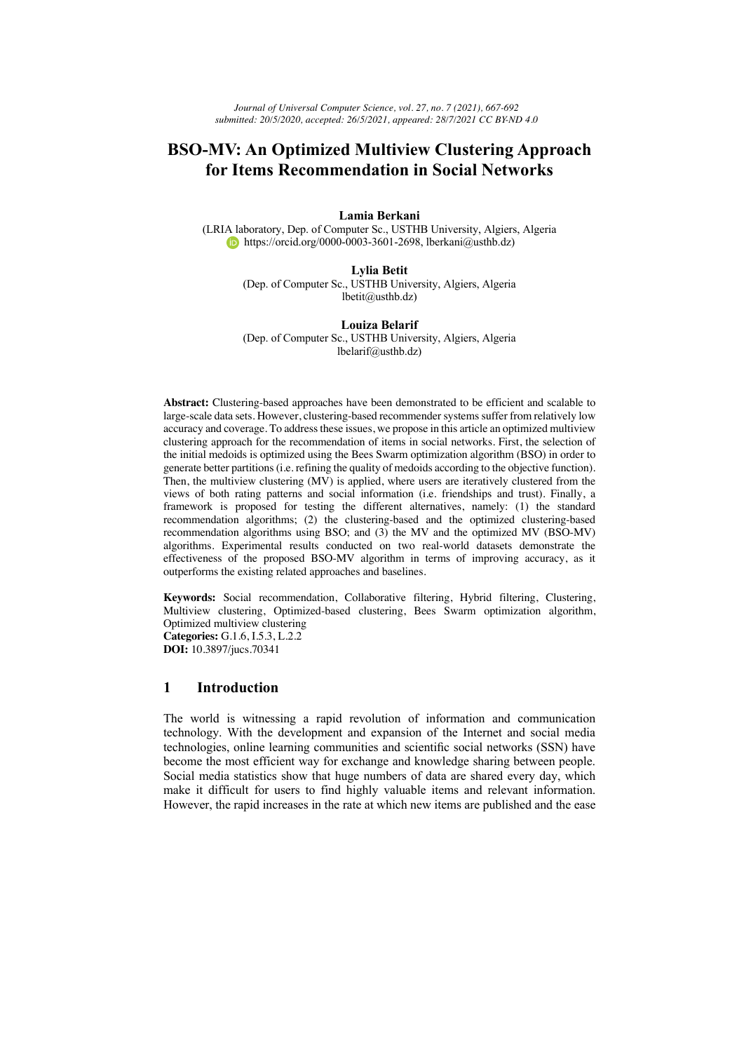# **BSO-MV: An Optimized Multiview Clustering Approach for Items Recommendation in Social Networks**

#### **Lamia Berkani**

(LRIA laboratory, Dep. of Computer Sc., USTHB University, Algiers, Algeria https://orcid.org/0000-0003-3601-2698, lberkani@usthb.dz)

### **Lylia Betit**

(Dep. of Computer Sc., USTHB University, Algiers, Algeria lbetit@usthb.dz)

### **Louiza Belarif**

(Dep. of Computer Sc., USTHB University, Algiers, Algeria lbelarif@usthb.dz)

**Abstract:** Clustering-based approaches have been demonstrated to be efficient and scalable to large-scale data sets. However, clustering-based recommender systems suffer from relatively low accuracy and coverage. To address these issues, we propose in this article an optimized multiview clustering approach for the recommendation of items in social networks. First, the selection of the initial medoids is optimized using the Bees Swarm optimization algorithm (BSO) in order to generate better partitions (i.e. refining the quality of medoids according to the objective function). Then, the multiview clustering (MV) is applied, where users are iteratively clustered from the views of both rating patterns and social information (i.e. friendships and trust). Finally, a framework is proposed for testing the different alternatives, namely: (1) the standard recommendation algorithms; (2) the clustering-based and the optimized clustering-based recommendation algorithms using BSO; and (3) the MV and the optimized MV (BSO-MV) algorithms. Experimental results conducted on two real-world datasets demonstrate the effectiveness of the proposed BSO-MV algorithm in terms of improving accuracy, as it outperforms the existing related approaches and baselines.

**Keywords:** Social recommendation, Collaborative filtering, Hybrid filtering, Clustering, Multiview clustering, Optimized-based clustering, Bees Swarm optimization algorithm, Optimized multiview clustering **Categories:** G.1.6, I.5.3, L.2.2

**DOI:** 10.3897/jucs.70341

# **1 Introduction**

The world is witnessing a rapid revolution of information and communication technology. With the development and expansion of the Internet and social media technologies, online learning communities and scientific social networks (SSN) have become the most efficient way for exchange and knowledge sharing between people. Social media statistics show that huge numbers of data are shared every day, which make it difficult for users to find highly valuable items and relevant information. However, the rapid increases in the rate at which new items are published and the ease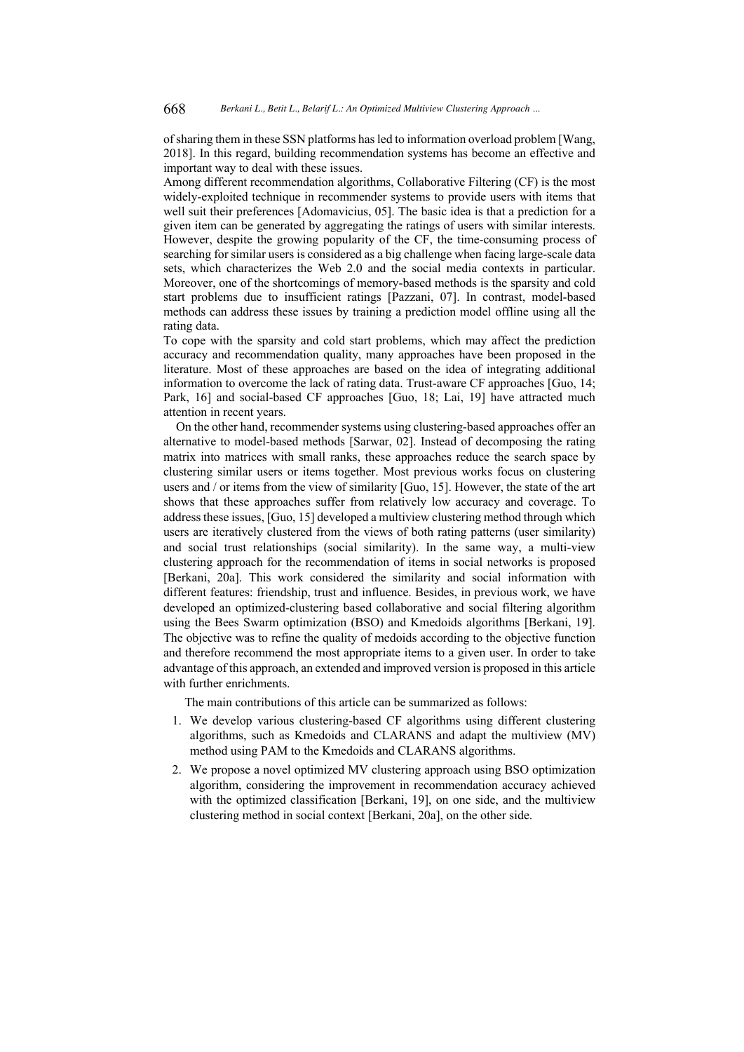of sharing them in these SSN platforms has led to information overload problem [Wang, 2018]. In this regard, building recommendation systems has become an effective and important way to deal with these issues.

Among different recommendation algorithms, Collaborative Filtering (CF) is the most widely-exploited technique in recommender systems to provide users with items that well suit their preferences [Adomavicius, 05]. The basic idea is that a prediction for a given item can be generated by aggregating the ratings of users with similar interests. However, despite the growing popularity of the CF, the time-consuming process of searching for similar users is considered as a big challenge when facing large-scale data sets, which characterizes the Web 2.0 and the social media contexts in particular. Moreover, one of the shortcomings of memory-based methods is the sparsity and cold start problems due to insufficient ratings [Pazzani, 07]. In contrast, model-based methods can address these issues by training a prediction model offline using all the rating data.

To cope with the sparsity and cold start problems, which may affect the prediction accuracy and recommendation quality, many approaches have been proposed in the literature. Most of these approaches are based on the idea of integrating additional information to overcome the lack of rating data. Trust-aware CF approaches [Guo, 14; Park, 16] and social-based CF approaches [Guo, 18; Lai, 19] have attracted much attention in recent years.

On the other hand, recommender systems using clustering-based approaches offer an alternative to model-based methods [Sarwar, 02]. Instead of decomposing the rating matrix into matrices with small ranks, these approaches reduce the search space by clustering similar users or items together. Most previous works focus on clustering users and / or items from the view of similarity [Guo, 15]. However, the state of the art shows that these approaches suffer from relatively low accuracy and coverage. To address these issues, [Guo, 15] developed a multiview clustering method through which users are iteratively clustered from the views of both rating patterns (user similarity) and social trust relationships (social similarity). In the same way, a multi-view clustering approach for the recommendation of items in social networks is proposed [Berkani, 20a]. This work considered the similarity and social information with different features: friendship, trust and influence. Besides, in previous work, we have developed an optimized-clustering based collaborative and social filtering algorithm using the Bees Swarm optimization (BSO) and Kmedoids algorithms [Berkani, 19]. The objective was to refine the quality of medoids according to the objective function and therefore recommend the most appropriate items to a given user. In order to take advantage of this approach, an extended and improved version is proposed in this article with further enrichments.

The main contributions of this article can be summarized as follows:

- 1. We develop various clustering-based CF algorithms using different clustering algorithms, such as Kmedoids and CLARANS and adapt the multiview (MV) method using PAM to the Kmedoids and CLARANS algorithms.
- 2. We propose a novel optimized MV clustering approach using BSO optimization algorithm, considering the improvement in recommendation accuracy achieved with the optimized classification [Berkani, 19], on one side, and the multiview clustering method in social context [Berkani, 20a], on the other side.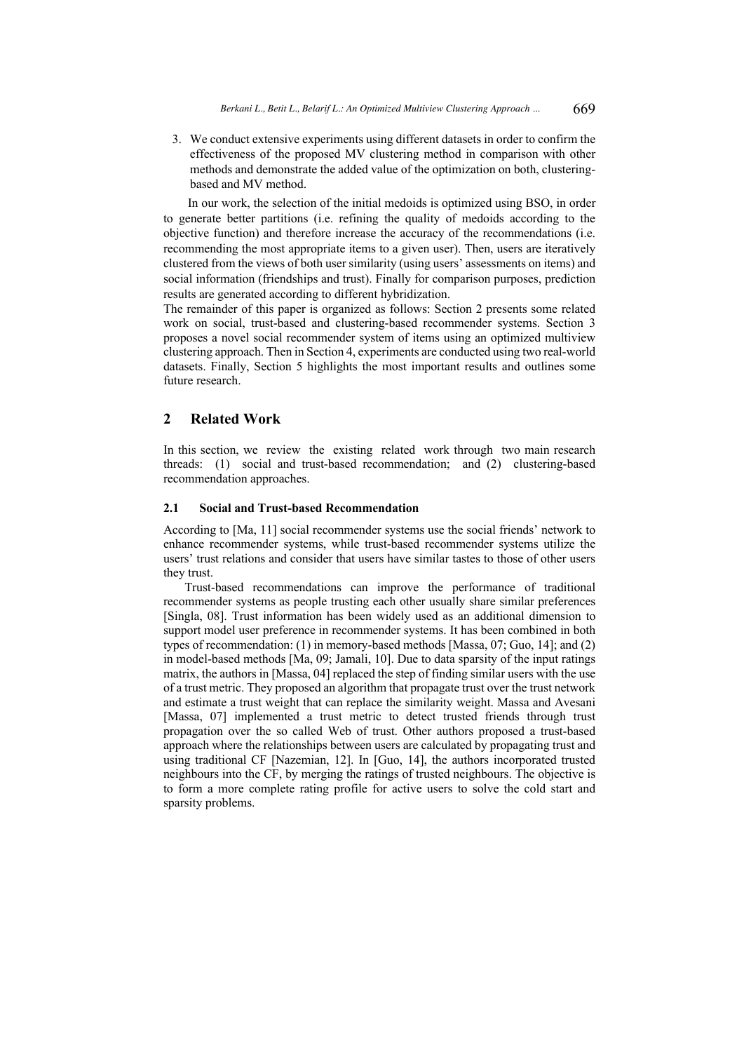3. We conduct extensive experiments using different datasets in order to confirm the effectiveness of the proposed MV clustering method in comparison with other methods and demonstrate the added value of the optimization on both, clusteringbased and MV method.

In our work, the selection of the initial medoids is optimized using BSO, in order to generate better partitions (i.e. refining the quality of medoids according to the objective function) and therefore increase the accuracy of the recommendations (i.e. recommending the most appropriate items to a given user). Then, users are iteratively clustered from the views of both user similarity (using users' assessments on items) and social information (friendships and trust). Finally for comparison purposes, prediction results are generated according to different hybridization.

The remainder of this paper is organized as follows: Section 2 presents some related work on social, trust-based and clustering-based recommender systems. Section 3 proposes a novel social recommender system of items using an optimized multiview clustering approach. Then in Section 4, experiments are conducted using two real-world datasets. Finally, Section 5 highlights the most important results and outlines some future research.

# **2 Related Work**

In this section, we review the existing related work through two main research threads: (1) social and trust-based recommendation; and (2) clustering-based recommendation approaches.

### **2.1 Social and Trust-based Recommendation**

According to [Ma, 11] social recommender systems use the social friends' network to enhance recommender systems, while trust-based recommender systems utilize the users' trust relations and consider that users have similar tastes to those of other users they trust.

Trust-based recommendations can improve the performance of traditional recommender systems as people trusting each other usually share similar preferences [Singla, 08]. Trust information has been widely used as an additional dimension to support model user preference in recommender systems. It has been combined in both types of recommendation: (1) in memory-based methods [Massa, 07; Guo, 14]; and (2) in model-based methods [Ma, 09; Jamali, 10]. Due to data sparsity of the input ratings matrix, the authors in [Massa, 04] replaced the step of finding similar users with the use of a trust metric. They proposed an algorithm that propagate trust over the trust network and estimate a trust weight that can replace the similarity weight. Massa and Avesani [Massa, 07] implemented a trust metric to detect trusted friends through trust propagation over the so called Web of trust. Other authors proposed a trust-based approach where the relationships between users are calculated by propagating trust and using traditional CF [Nazemian, 12]. In [Guo, 14], the authors incorporated trusted neighbours into the CF, by merging the ratings of trusted neighbours. The objective is to form a more complete rating profile for active users to solve the cold start and sparsity problems.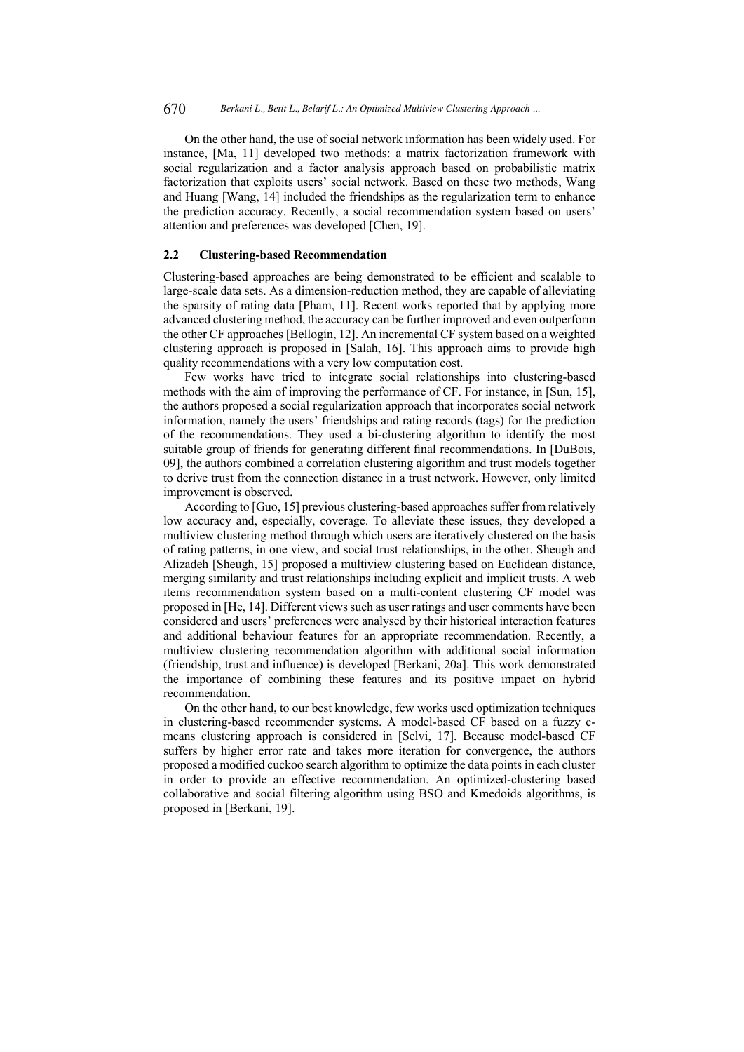670 *Berkani L., Betit L., Belarif L.: An Optimized Multiview Clustering Approach ...*

On the other hand, the use of social network information has been widely used. For instance, [Ma, 11] developed two methods: a matrix factorization framework with social regularization and a factor analysis approach based on probabilistic matrix factorization that exploits users' social network. Based on these two methods, Wang and Huang [Wang, 14] included the friendships as the regularization term to enhance the prediction accuracy. Recently, a social recommendation system based on users' attention and preferences was developed [Chen, 19].

### **2.2 Clustering-based Recommendation**

Clustering-based approaches are being demonstrated to be efficient and scalable to large-scale data sets. As a dimension-reduction method, they are capable of alleviating the sparsity of rating data [Pham, 11]. Recent works reported that by applying more advanced clustering method, the accuracy can be further improved and even outperform the other CF approaches [Bellogín, 12]. An incremental CF system based on a weighted clustering approach is proposed in [Salah, 16]. This approach aims to provide high quality recommendations with a very low computation cost.

Few works have tried to integrate social relationships into clustering-based methods with the aim of improving the performance of CF. For instance, in [Sun, 15], the authors proposed a social regularization approach that incorporates social network information, namely the users' friendships and rating records (tags) for the prediction of the recommendations. They used a bi-clustering algorithm to identify the most suitable group of friends for generating different final recommendations. In [DuBois, 09], the authors combined a correlation clustering algorithm and trust models together to derive trust from the connection distance in a trust network. However, only limited improvement is observed.

According to [Guo, 15] previous clustering-based approaches suffer from relatively low accuracy and, especially, coverage. To alleviate these issues, they developed a multiview clustering method through which users are iteratively clustered on the basis of rating patterns, in one view, and social trust relationships, in the other. Sheugh and Alizadeh [Sheugh, 15] proposed a multiview clustering based on Euclidean distance, merging similarity and trust relationships including explicit and implicit trusts. A web items recommendation system based on a multi-content clustering CF model was proposed in [He, 14]. Different views such as user ratings and user comments have been considered and users' preferences were analysed by their historical interaction features and additional behaviour features for an appropriate recommendation. Recently, a multiview clustering recommendation algorithm with additional social information (friendship, trust and influence) is developed [Berkani, 20a]. This work demonstrated the importance of combining these features and its positive impact on hybrid recommendation.

On the other hand, to our best knowledge, few works used optimization techniques in clustering-based recommender systems. A model-based CF based on a fuzzy cmeans clustering approach is considered in [Selvi, 17]. Because model-based CF suffers by higher error rate and takes more iteration for convergence, the authors proposed a modified cuckoo search algorithm to optimize the data points in each cluster in order to provide an effective recommendation. An optimized-clustering based collaborative and social filtering algorithm using BSO and Kmedoids algorithms, is proposed in [Berkani, 19].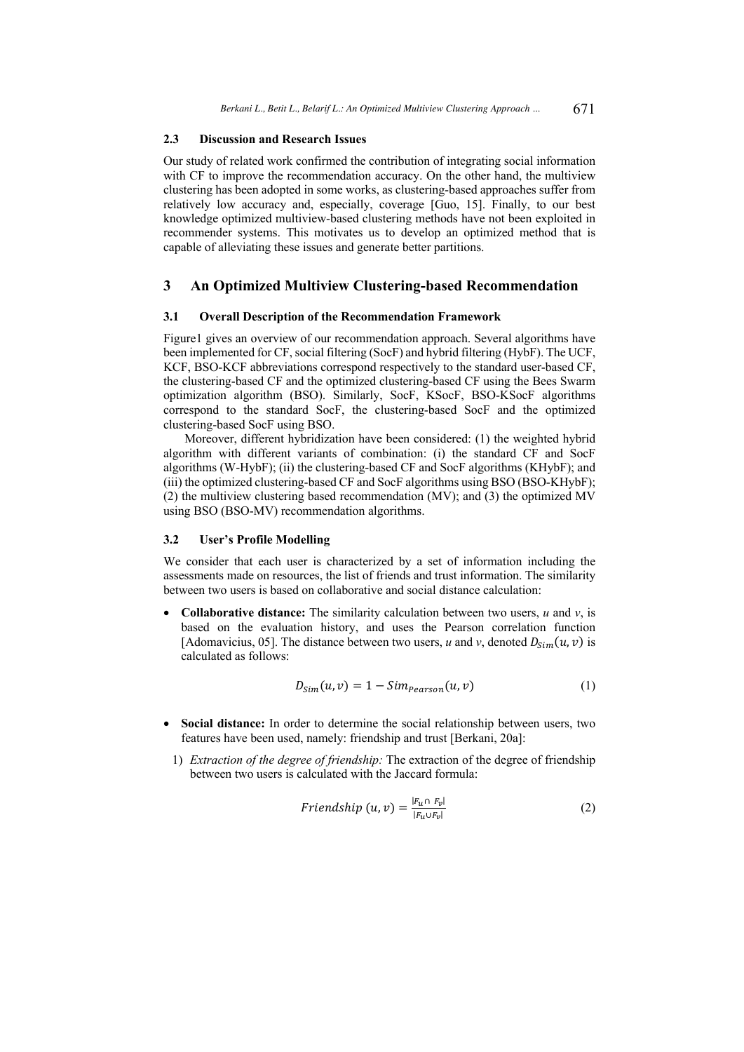### **2.3 Discussion and Research Issues**

Our study of related work confirmed the contribution of integrating social information with CF to improve the recommendation accuracy. On the other hand, the multiview clustering has been adopted in some works, as clustering-based approaches suffer from relatively low accuracy and, especially, coverage [Guo, 15]. Finally, to our best knowledge optimized multiview-based clustering methods have not been exploited in recommender systems. This motivates us to develop an optimized method that is capable of alleviating these issues and generate better partitions.

### **3 An Optimized Multiview Clustering-based Recommendation**

### **3.1 Overall Description of the Recommendation Framework**

Figure1 gives an overview of our recommendation approach. Several algorithms have been implemented for CF, social filtering (SocF) and hybrid filtering (HybF). The UCF, KCF, BSO-KCF abbreviations correspond respectively to the standard user-based CF, the clustering-based CF and the optimized clustering-based CF using the Bees Swarm optimization algorithm (BSO). Similarly, SocF, KSocF, BSO-KSocF algorithms correspond to the standard SocF, the clustering-based SocF and the optimized clustering-based SocF using BSO.

Moreover, different hybridization have been considered: (1) the weighted hybrid algorithm with different variants of combination: (i) the standard CF and SocF algorithms (W-HybF); (ii) the clustering-based CF and SocF algorithms (KHybF); and (iii) the optimized clustering-based CF and SocF algorithms using BSO (BSO-KHybF); (2) the multiview clustering based recommendation (MV); and (3) the optimized MV using BSO (BSO-MV) recommendation algorithms.

### **3.2 User's Profile Modelling**

We consider that each user is characterized by a set of information including the assessments made on resources, the list of friends and trust information. The similarity between two users is based on collaborative and social distance calculation:

**Collaborative distance:** The similarity calculation between two users,  $u$  and  $v$ , is based on the evaluation history, and uses the Pearson correlation function [Adomavicius, 05]. The distance between two users, *u* and *v*, denoted  $D_{Sim}(u, v)$  is calculated as follows:

$$
D_{Sim}(u, v) = 1 - Sim_{Pearson}(u, v)
$$
\n(1)

- **Social distance:** In order to determine the social relationship between users, two features have been used, namely: friendship and trust [Berkani, 20a]:
	- 1) *Extraction of the degree of friendship:* The extraction of the degree of friendship between two users is calculated with the Jaccard formula:

$$
Friendship (u, v) = \frac{|F_{u} \cap F_{v}|}{|F_{u} \cup F_{v}|}
$$
\n
$$
(2)
$$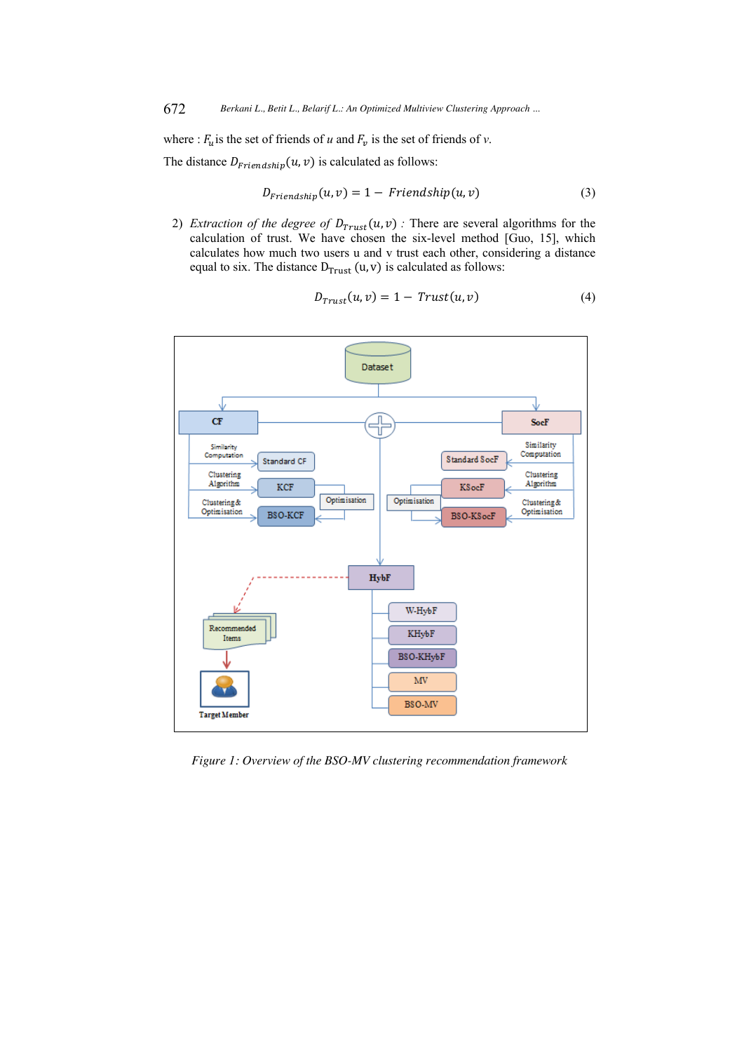where :  $F_u$  is the set of friends of *u* and  $F_v$  is the set of friends of *v*.

The distance  $D_{\text{Friendship}}(u, v)$  is calculated as follows:

$$
D_{Friendship}(u, v) = 1 - Friendship(u, v)
$$
\n(3)

2) *Extraction of the degree of*  $D_{\text{Trust}}(u, v)$  *:* There are several algorithms for the calculation of trust. We have chosen the six-level method [Guo, 15], which calculates how much two users u and v trust each other, considering a distance equal to six. The distance  $D_{\text{Trust}}(u, v)$  is calculated as follows:

$$
D_{Trust}(u,v) = 1 - Trust(u,v)
$$
\n(4)



*Figure 1: Overview of the BSO-MV clustering recommendation framework*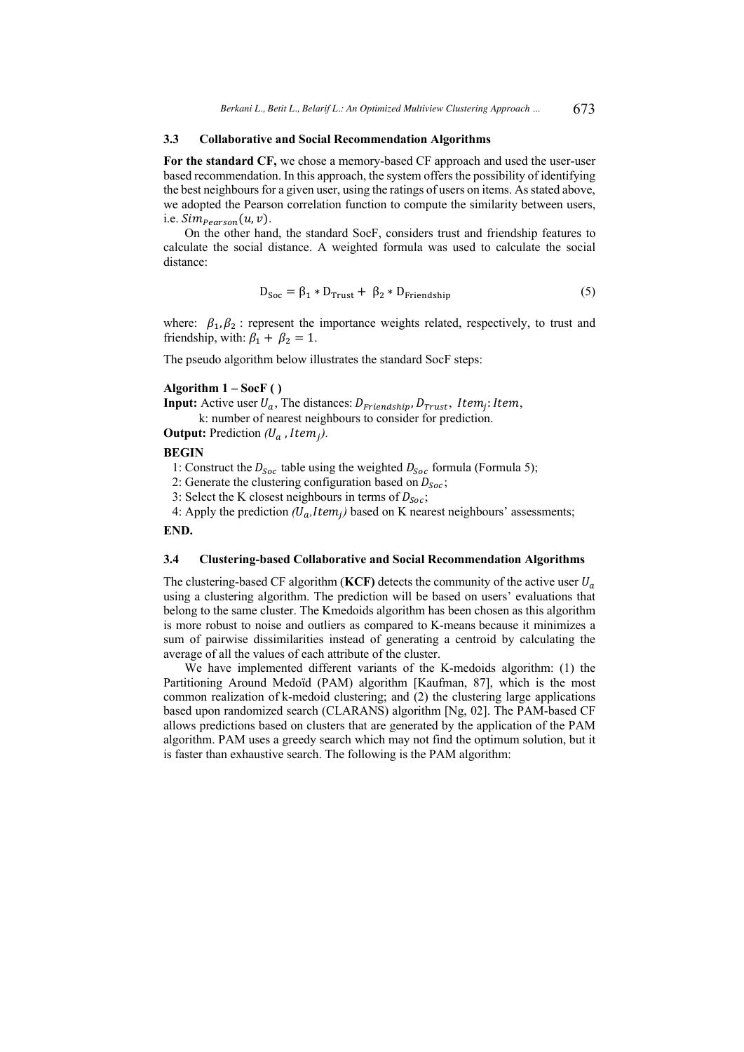#### **3.3 Collaborative and Social Recommendation Algorithms**

**For the standard CF,** we chose a memory-based CF approach and used the user-user based recommendation. In this approach, the system offers the possibility of identifying the best neighbours for a given user, using the ratings of users on items. As stated above, we adopted the Pearson correlation function to compute the similarity between users, i.e.  $Sim_{Pearson}(u, v)$ .

On the other hand, the standard SocF, considers trust and friendship features to calculate the social distance. A weighted formula was used to calculate the social distance:

$$
D_{Soc} = \beta_1 * D_{Trust} + \beta_2 * D_{Friendship}
$$
 (5)

where:  $\beta_1, \beta_2$ : represent the importance weights related, respectively, to trust and friendship, with:  $\beta_1 + \beta_2 = 1$ .

The pseudo algorithm below illustrates the standard SocF steps:

### **Algorithm 1 – SocF ( )**

**Input:** Active user  $U_a$ , The distances:  $D_{\text{Friendship}}$ ,  $D_{\text{Trust}}$ , Item<sub>j</sub>: Item, k: number of nearest neighbours to consider for prediction.

**Output:** Prediction  $(U_a$ , Item,).

#### **BEGIN**

1: Construct the  $D_{Soc}$  table using the weighted  $D_{Soc}$  formula (Formula 5);

2: Generate the clustering configuration based on  $D_{Soc}$ ;

3: Select the K closest neighbours in terms of  $D_{Soc}$ ;

4: Apply the prediction  $(U_a,Item_i)$  based on K nearest neighbours' assessments;

### **END.**

#### **3.4 Clustering-based Collaborative and Social Recommendation Algorithms**

The clustering-based CF algorithm (**KCF**) detects the community of the active user  $U_a$ using a clustering algorithm. The prediction will be based on users' evaluations that belong to the same cluster. The Kmedoids algorithm has been chosen as this algorithm is more robust to noise and outliers as compared to K-means because it minimizes a sum of pairwise dissimilarities instead of generating a centroid by calculating the average of all the values of each attribute of the cluster.

We have implemented different variants of the K-medoids algorithm: (1) the Partitioning Around Medoïd (PAM) algorithm [Kaufman, 87], which is the most common realization of k-medoid clustering; and (2) the clustering large applications based upon randomized search (CLARANS) algorithm [Ng, 02]. The PAM-based CF allows predictions based on clusters that are generated by the application of the PAM algorithm. PAM uses a greedy search which may not find the optimum solution, but it is faster than exhaustive search. The following is the PAM algorithm: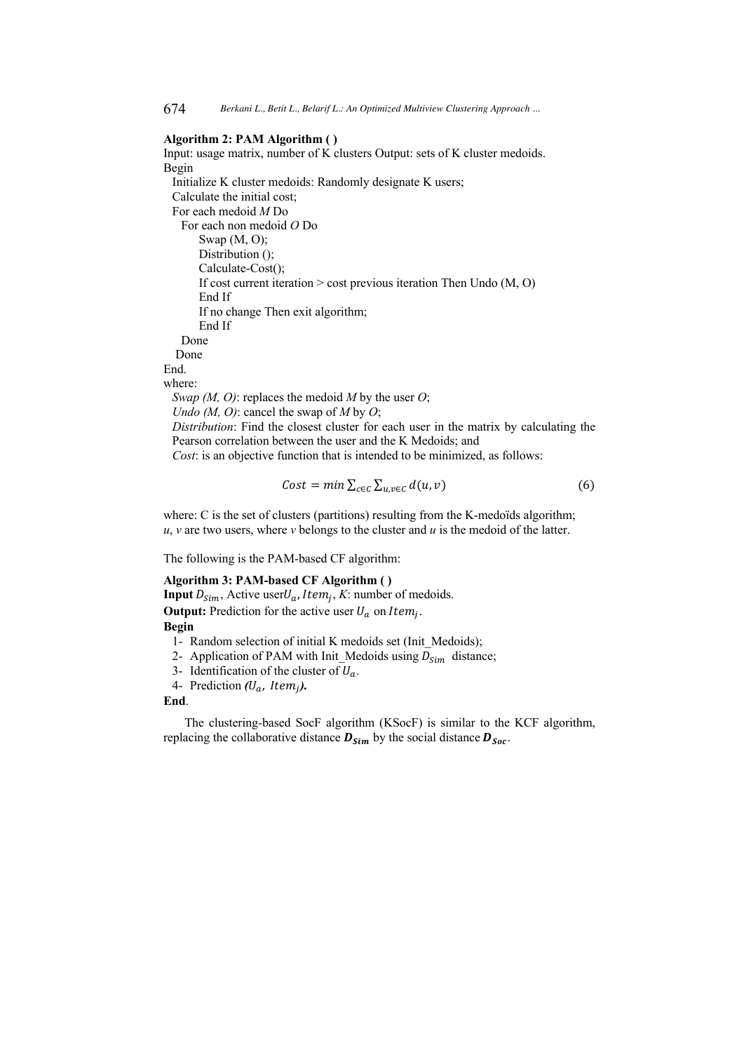#### **Algorithm 2: PAM Algorithm ( )**

Input: usage matrix, number of K clusters Output: sets of K cluster medoids. Begin Initialize K cluster medoids: Randomly designate K users; Calculate the initial cost; For each medoid *M* Do For each non medoid *O* Do Swap (M, O); Distribution (); Calculate-Cost(); If cost current iteration > cost previous iteration Then Undo (M, O) End If If no change Then exit algorithm; End If Done Done End. where: *Swap (M, O)*: replaces the medoid *M* by the user *O*; *Undo (M, O)*: cancel the swap of *M* by *O*; *Distribution*: Find the closest cluster for each user in the matrix by calculating the Pearson correlation between the user and the K Medoids; and *Cost*: is an objective function that is intended to be minimized, as follows:

$$
Cost = min \sum_{c \in C} \sum_{u,v \in C} d(u,v) \tag{6}
$$

where: C is the set of clusters (partitions) resulting from the K-medoïds algorithm;  $u, v$  are two users, where  $v$  belongs to the cluster and  $u$  is the medoid of the latter.

The following is the PAM-based CF algorithm:

### **Algorithm 3: PAM-based CF Algorithm ( )**

**Input**  $D_{Sim}$ , Active user $U_a$ , *Item<sub>i</sub>*, *K*: number of medoids. **Output:** Prediction for the active user  $U_a$  on Item<sub>i</sub>.

#### **Begin**

- 1- Random selection of initial K medoids set (Init\_Medoids);
- 2- Application of PAM with Init\_Medoids using  $D_{Sim}$  distance;
- 3- Identification of the cluster of  $U_a$ .
- 4- Prediction (U<sub>a</sub>, Item<sub>i</sub>).

#### **End**.

The clustering-based SocF algorithm (KSocF) is similar to the KCF algorithm, replacing the collaborative distance  $\bm{D}_{Sim}$  by the social distance  $\bm{D}_{Soc}$ .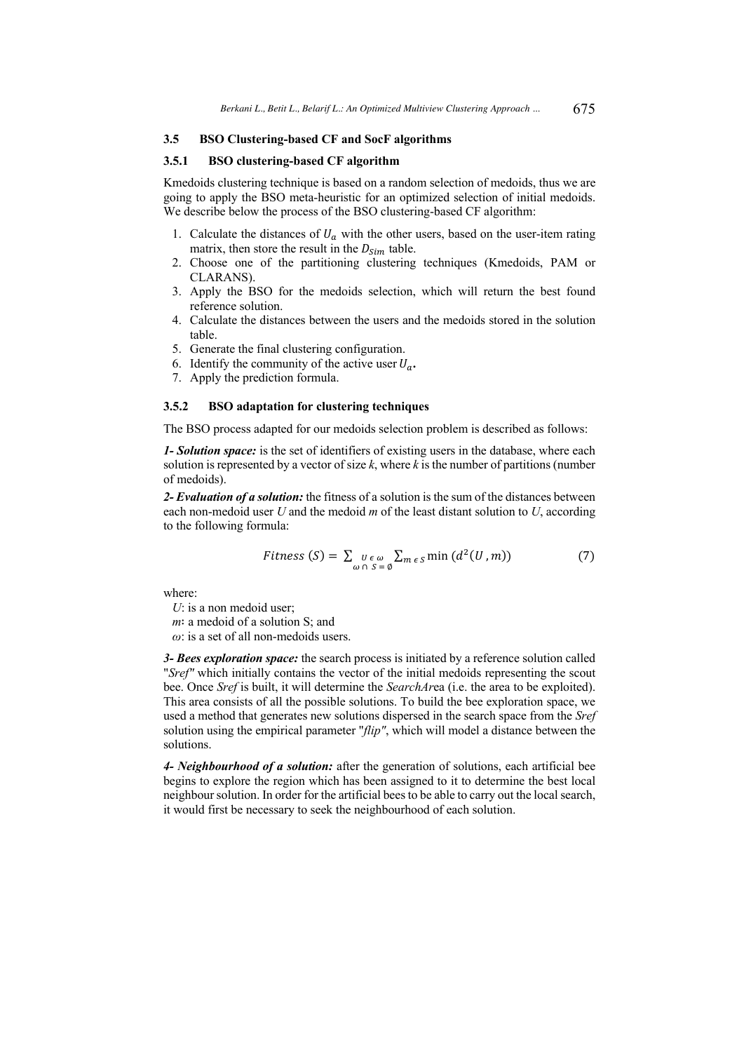### **3.5 BSO Clustering-based CF and SocF algorithms**

#### **3.5.1 BSO clustering-based CF algorithm**

Kmedoids clustering technique is based on a random selection of medoids, thus we are going to apply the BSO meta-heuristic for an optimized selection of initial medoids. We describe below the process of the BSO clustering-based CF algorithm:

- 1. Calculate the distances of  $U_a$  with the other users, based on the user-item rating matrix, then store the result in the  $D_{Sim}$  table.
- 2. Choose one of the partitioning clustering techniques (Kmedoids, PAM or CLARANS).
- 3. Apply the BSO for the medoids selection, which will return the best found reference solution.
- 4. Calculate the distances between the users and the medoids stored in the solution table.
- 5. Generate the final clustering configuration.
- 6. Identify the community of the active user  $U_a$ .
- 7. Apply the prediction formula.

# **3.5.2 BSO adaptation for clustering techniques**

The BSO process adapted for our medoids selection problem is described as follows:

*1- Solution space:* is the set of identifiers of existing users in the database, where each solution is represented by a vector of size *k*, where *k* is the number of partitions (number of medoids).

*2- Evaluation of a solution:* the fitness of a solution is the sum of the distances between each non-medoid user *U* and the medoid *m* of the least distant solution to *U*, according to the following formula:

$$
Fitness(S) = \sum_{\omega \cap S = \emptyset} U_{\epsilon \omega} \sum_{m \epsilon S} \min(d^2(U, m)) \tag{7}
$$

where:

*U*: is a non medoid user; *m*∶ a medoid of a solution S; and *ω*: is a set of all non-medoids users.

*3- Bees exploration space:* the search process is initiated by a reference solution called "*Sref"* which initially contains the vector of the initial medoids representing the scout bee. Once *Sref* is built, it will determine the *SearchAr*ea (i.e. the area to be exploited). This area consists of all the possible solutions. To build the bee exploration space, we used a method that generates new solutions dispersed in the search space from the *Sref* solution using the empirical parameter "*flip"*, which will model a distance between the solutions.

*4- Neighbourhood of a solution:* after the generation of solutions, each artificial bee begins to explore the region which has been assigned to it to determine the best local neighbour solution. In order for the artificial bees to be able to carry out the local search, it would first be necessary to seek the neighbourhood of each solution.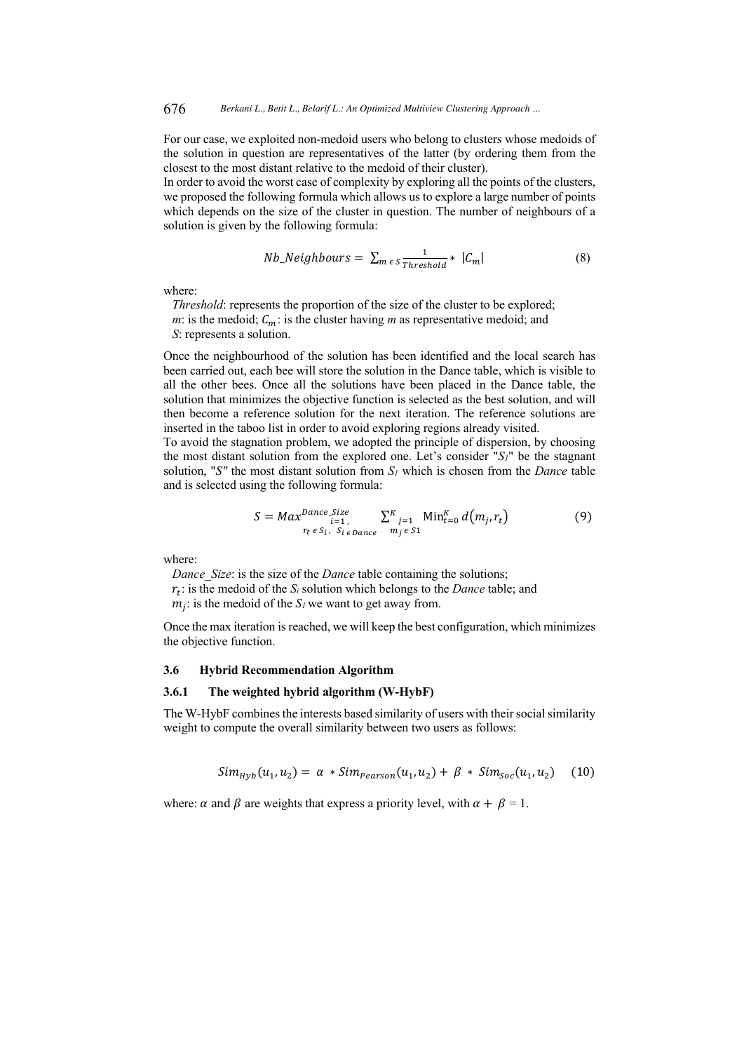For our case, we exploited non-medoid users who belong to clusters whose medoids of the solution in question are representatives of the latter (by ordering them from the closest to the most distant relative to the medoid of their cluster).

In order to avoid the worst case of complexity by exploring all the points of the clusters, we proposed the following formula which allows us to explore a large number of points which depends on the size of the cluster in question. The number of neighbours of a solution is given by the following formula:

$$
Nb\_Neighbours = \sum_{m \in S} \frac{1}{Threshold} * |C_m|
$$
 (8)

where:

*Threshold*: represents the proportion of the size of the cluster to be explored; *m*: is the medoid;  $C_m$ : is the cluster having *m* as representative medoid; and *S*: represents a solution.

Once the neighbourhood of the solution has been identified and the local search has been carried out, each bee will store the solution in the Dance table, which is visible to all the other bees. Once all the solutions have been placed in the Dance table, the solution that minimizes the objective function is selected as the best solution, and will then become a reference solution for the next iteration. The reference solutions are inserted in the taboo list in order to avoid exploring regions already visited.

To avoid the stagnation problem, we adopted the principle of dispersion, by choosing the most distant solution from the explored one. Let's consider "*S1*" be the stagnant solution, "*S"* the most distant solution from *S1* which is chosen from the *Dance* table and is selected using the following formula:

$$
S = Max^{Dance\_Size} \sum_{i=1}^{K} \sum_{j=1}^{K} \text{Min}_{t=0}^{K} d(m_j, r_t)
$$
(9)

where:

*Dance Size:* is the size of the *Dance* table containing the solutions;  $r_t$ : is the medoid of the  $S_i$  solution which belongs to the *Dance* table; and  $m_i$ : is the medoid of the  $S_i$  we want to get away from.

Once the max iteration is reached, we will keep the best configuration, which minimizes the objective function.

### **3.6 Hybrid Recommendation Algorithm**

### **3.6.1 The weighted hybrid algorithm (W-HybF)**

The W-HybF combines the interests based similarity of users with their social similarity weight to compute the overall similarity between two users as follows:

$$
Sim_{Hyb}(u_1, u_2) = \alpha * Sim_{Pearson}(u_1, u_2) + \beta * Sim_{Soc}(u_1, u_2)
$$
 (10)

where:  $\alpha$  and  $\beta$  are weights that express a priority level, with  $\alpha + \beta = 1$ .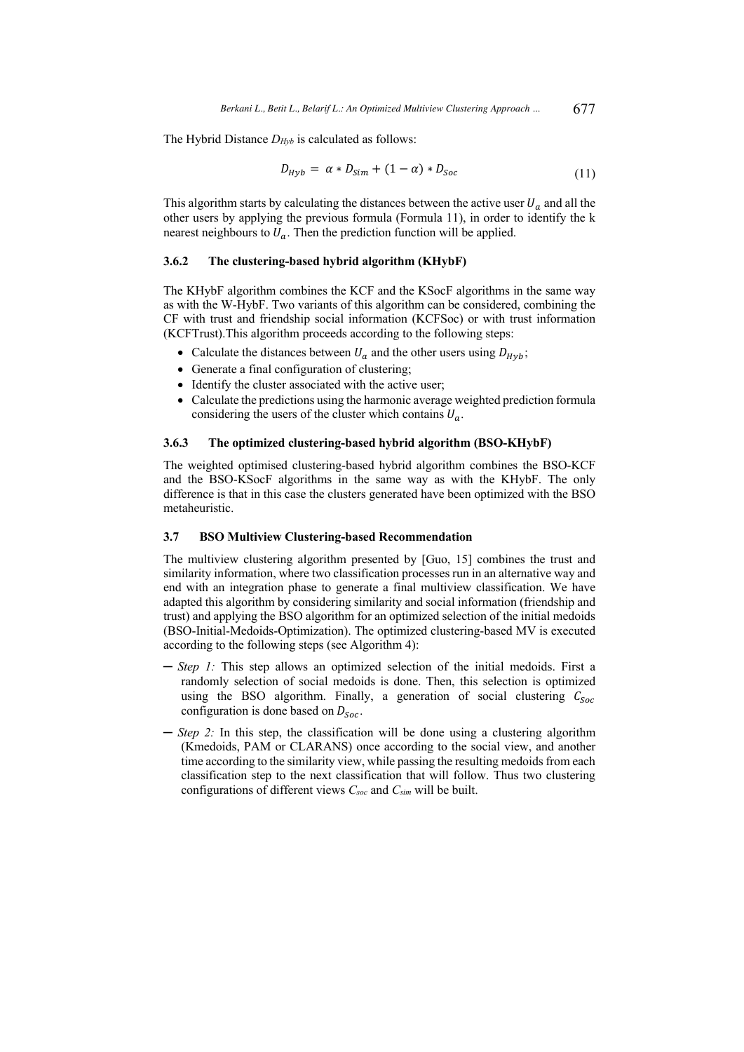The Hybrid Distance *DHyb* is calculated as follows:

$$
D_{Hyb} = \alpha * D_{Sim} + (1 - \alpha) * D_{Soc}
$$
\n
$$
(11)
$$

This algorithm starts by calculating the distances between the active user  $U_a$  and all the other users by applying the previous formula (Formula 11), in order to identify the k nearest neighbours to  $U_a$ . Then the prediction function will be applied.

### **3.6.2 The clustering-based hybrid algorithm (KHybF)**

The KHybF algorithm combines the KCF and the KSocF algorithms in the same way as with the W-HybF. Two variants of this algorithm can be considered, combining the CF with trust and friendship social information (KCFSoc) or with trust information (KCFTrust).This algorithm proceeds according to the following steps:

- Calculate the distances between  $U_a$  and the other users using  $D_{Hv}$ ;
- Generate a final configuration of clustering;
- Identify the cluster associated with the active user;
- Calculate the predictions using the harmonic average weighted prediction formula considering the users of the cluster which contains  $U_a$ .

### **3.6.3 The optimized clustering-based hybrid algorithm (BSO-KHybF)**

The weighted optimised clustering-based hybrid algorithm combines the BSO-KCF and the BSO-KSocF algorithms in the same way as with the KHybF. The only difference is that in this case the clusters generated have been optimized with the BSO metaheuristic.

#### **3.7 BSO Multiview Clustering-based Recommendation**

The multiview clustering algorithm presented by [Guo, 15] combines the trust and similarity information, where two classification processes run in an alternative way and end with an integration phase to generate a final multiview classification. We have adapted this algorithm by considering similarity and social information (friendship and trust) and applying the BSO algorithm for an optimized selection of the initial medoids (BSO-Initial-Medoids-Optimization). The optimized clustering-based MV is executed according to the following steps (see Algorithm 4):

- ─ *Step 1:* This step allows an optimized selection of the initial medoids. First a randomly selection of social medoids is done. Then, this selection is optimized using the BSO algorithm. Finally, a generation of social clustering  $C_{Soc}$ configuration is done based on  $D_{Soc}$ .
- ─ *Step 2:* In this step, the classification will be done using a clustering algorithm (Kmedoids, PAM or CLARANS) once according to the social view, and another time according to the similarity view, while passing the resulting medoids from each classification step to the next classification that will follow. Thus two clustering configurations of different views *Csoc* and *Csim* will be built.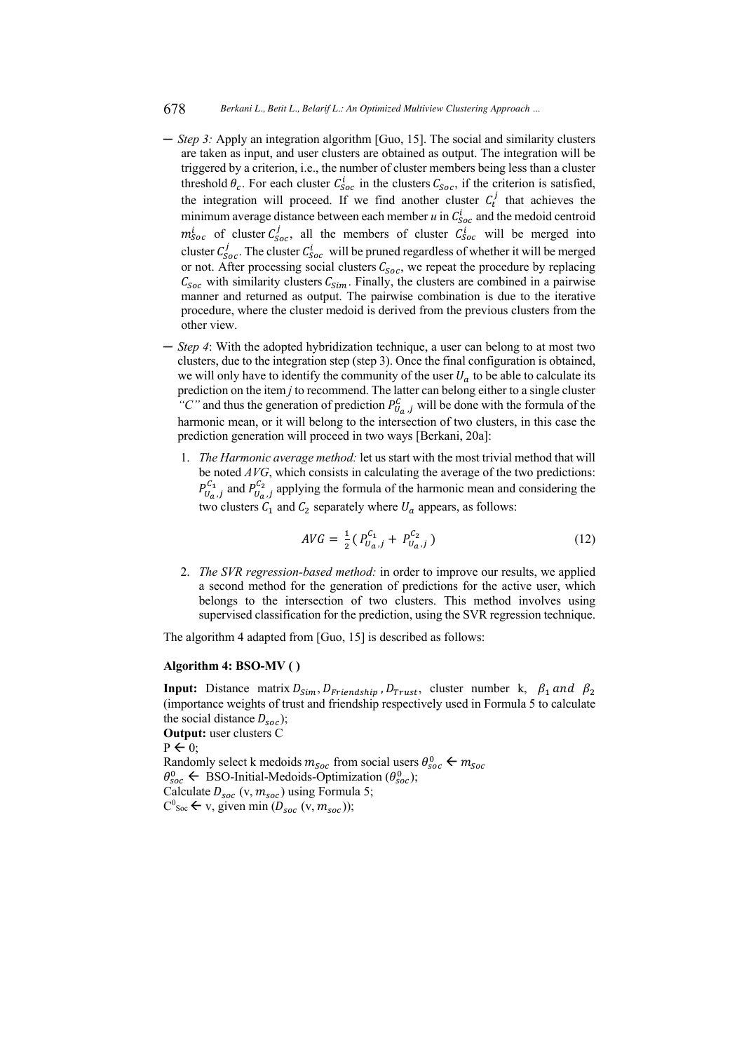#### 678 *Berkani L., Betit L., Belarif L.: An Optimized Multiview Clustering Approach ...*

- ─ *Step 3:* Apply an integration algorithm [Guo, 15]. The social and similarity clusters are taken as input, and user clusters are obtained as output. The integration will be triggered by a criterion, i.e., the number of cluster members being less than a cluster threshold  $\theta_c$ . For each cluster  $C_{Soc}$  in the clusters  $C_{Soc}$ , if the criterion is satisfied, the integration will proceed. If we find another cluster  $C_t^j$  that achieves the minimum average distance between each member  $u$  in  $C_{Soc}^i$  and the medoid centroid  $m_{Soc}^{i}$  of cluster  $C_{Soc}^{j}$ , all the members of cluster  $C_{Soc}^{i}$  will be merged into cluster  $C_{Soc}^j$ . The cluster  $C_{Soc}^i$  will be pruned regardless of whether it will be merged or not. After processing social clusters  $C_{Soc}$ , we repeat the procedure by replacing  $C_{Soc}$  with similarity clusters  $C_{Sim}$ . Finally, the clusters are combined in a pairwise manner and returned as output. The pairwise combination is due to the iterative procedure, where the cluster medoid is derived from the previous clusters from the other view.
- ─ *Step 4*: With the adopted hybridization technique, a user can belong to at most two clusters, due to the integration step (step 3). Once the final configuration is obtained, we will only have to identify the community of the user  $U_a$  to be able to calculate its prediction on the item *j* to recommend. The latter can belong either to a single cluster "C" and thus the generation of prediction  $P_{U_a,j}^C$  will be done with the formula of the harmonic mean, or it will belong to the intersection of two clusters, in this case the prediction generation will proceed in two ways [Berkani, 20a]:
	- 1. *The Harmonic average method:* let us start with the most trivial method that will be noted *AVG*, which consists in calculating the average of the two predictions:  $P_{U_a,j}^{C_1}$  and  $P_{U_a,j}^{C_2}$  applying the formula of the harmonic mean and considering the two clusters  $C_1$  and  $C_2$  separately where  $U_a$  appears, as follows:

$$
AVG = \frac{1}{2} (P_{U_a,j}^{C_1} + P_{U_a,j}^{C_2})
$$
\n(12)

2. *The SVR regression-based method:* in order to improve our results, we applied a second method for the generation of predictions for the active user, which belongs to the intersection of two clusters. This method involves using supervised classification for the prediction, using the SVR regression technique.

The algorithm 4 adapted from [Guo, 15] is described as follows:

### **Algorithm 4: BSO-MV ( )**

**Input:** Distance matrix  $D_{Sim}$ ,  $D_{Triendship}$ ,  $D_{Trust}$ , cluster number k,  $\beta_1$  and  $\beta_2$ (importance weights of trust and friendship respectively used in Formula 5 to calculate the social distance  $D_{\text{soc}}$ ); **Output:** user clusters C  $P \leftarrow 0$ : Randomly select k medoids  $m_{Soc}$  from social users  $\theta_{Soc}^0 \leftarrow m_{Soc}$  $\theta_{soc}^0$   $\leftarrow$  BSO-Initial-Medoids-Optimization ( $\theta_{soc}^0$ ); Calculate  $D_{soc}$  (v,  $m_{soc}$ ) using Formula 5;  $C^0$ <sub>Soc</sub>  $\leftarrow$  v, given min ( $D_{soc}$  (v,  $m_{soc}$ ));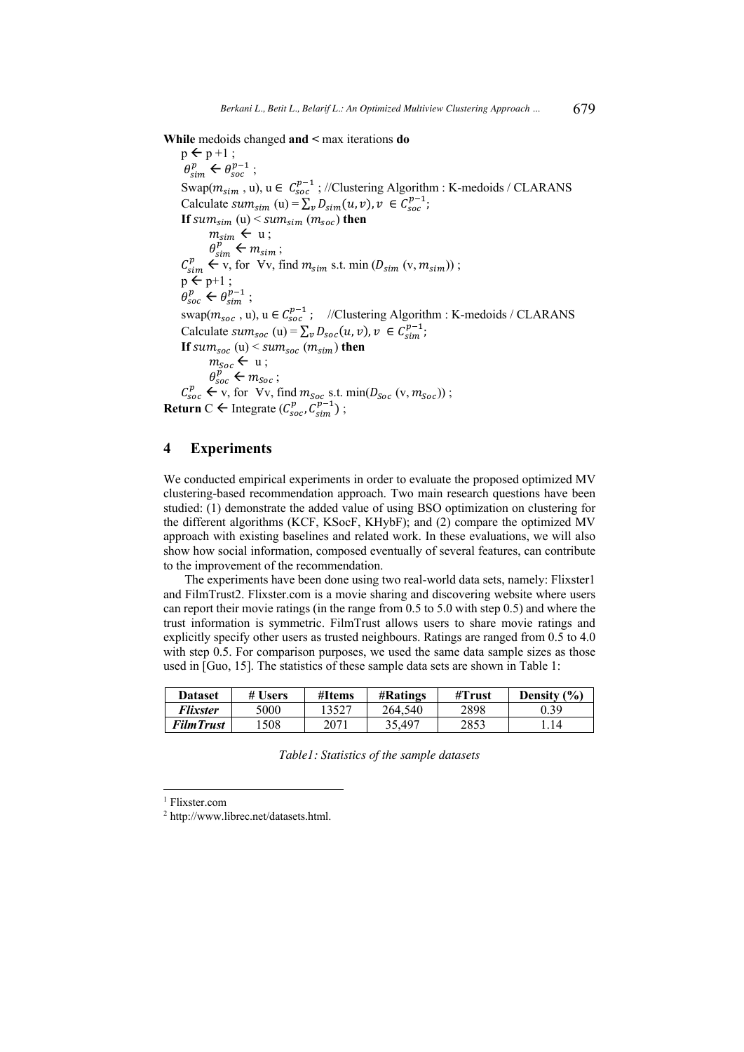**While** medoids changed **and <** max iterations **do**

 $p \leftarrow p + 1$ ;  $\theta_{sim}^p \leftarrow \theta_{soc}^{p-1}$ ; Swap $(m_{sim}$ , u),  $u \in C_{soc}^{p-1}$ ; //Clustering Algorithm : K-medoids / CLARANS Calculate  $sum_{sim} (u) = \sum_{v} D_{sim}(u, v), v \in C_{soc}^{p-1}$ ; **If**  $sum_{sim}$  (u)  $\leq$   $sum_{sim}$  ( $m_{soc}$ ) **then**  $m_{sim} \leftarrow u$ ;  $\theta_{sim}^p \leftarrow m_{sim}$ ;  $C_{sim}^p \leftarrow v$ , for  $Vv$ , find  $m_{sim}$  s.t. min  $(D_{sim} (v, m_{sim}))$ ;  $p \leftarrow p+1$ ;  $\theta_{soc}^p \leftarrow \theta_{sim}^{p-1}$ ; swap( $m_{soc}$ , u), u  $\in C_{soc}^{p-1}$ ; //Clustering Algorithm : K-medoids / CLARANS Calculate  $sum_{soc} (u) = \sum_{v} D_{soc}(u, v), v \in C_{sim}^{p-1}$ ; **If**  $sum_{soc}$  (u)  $\leq$   $sum_{soc}$  ( $m_{sim}$ ) **then**  $m_{Soc} \leftarrow u$ ;  $\theta_{soc}^p \leftarrow m_{Soc}$ ;  $C_{soc}^p \leftarrow v$ , for  $Vv$ , find  $m_{soc}$  s.t. min( $D_{soc}$  (v,  $m_{soc}$ )); **Return** C  $\leftarrow$  Integrate ( $C_{soc}^p, C_{sim}^{p-1}$ );

### **4 Experiments**

We conducted empirical experiments in order to evaluate the proposed optimized MV clustering-based recommendation approach. Two main research questions have been studied: (1) demonstrate the added value of using BSO optimization on clustering for the different algorithms (KCF, KSocF, KHybF); and (2) compare the optimized MV approach with existing baselines and related work. In these evaluations, we will also show how social information, composed eventually of several features, can contribute to the improvement of the recommendation.

The experiments have been done using two real-world data sets, namely: Flixster1 and FilmTrust2. Flixster.com is a movie sharing and discovering website where users can report their movie ratings (in the range from 0.5 to 5.0 with step 0.5) and where the trust information is symmetric. FilmTrust allows users to share movie ratings and explicitly specify other users as trusted neighbours. Ratings are ranged from 0.5 to 4.0 with step 0.5. For comparison purposes, we used the same data sample sizes as those used in [Guo, 15]. The statistics of these sample data sets are shown in Table 1:

| Dataset    | # Users | #Items | <b>#Ratings</b> | #Trust | Density (%) |
|------------|---------|--------|-----------------|--------|-------------|
| Flixster   | 5000    | 13527  | 264,540         | 2898   | 0.39        |
| Film Trust | 508     | 2071   | 35.497          | 2853   | 14          |

*Table1: Statistics of the sample datasets*

<sup>1</sup> Flixster.com

<sup>2</sup> http://www.librec.net/datasets.html.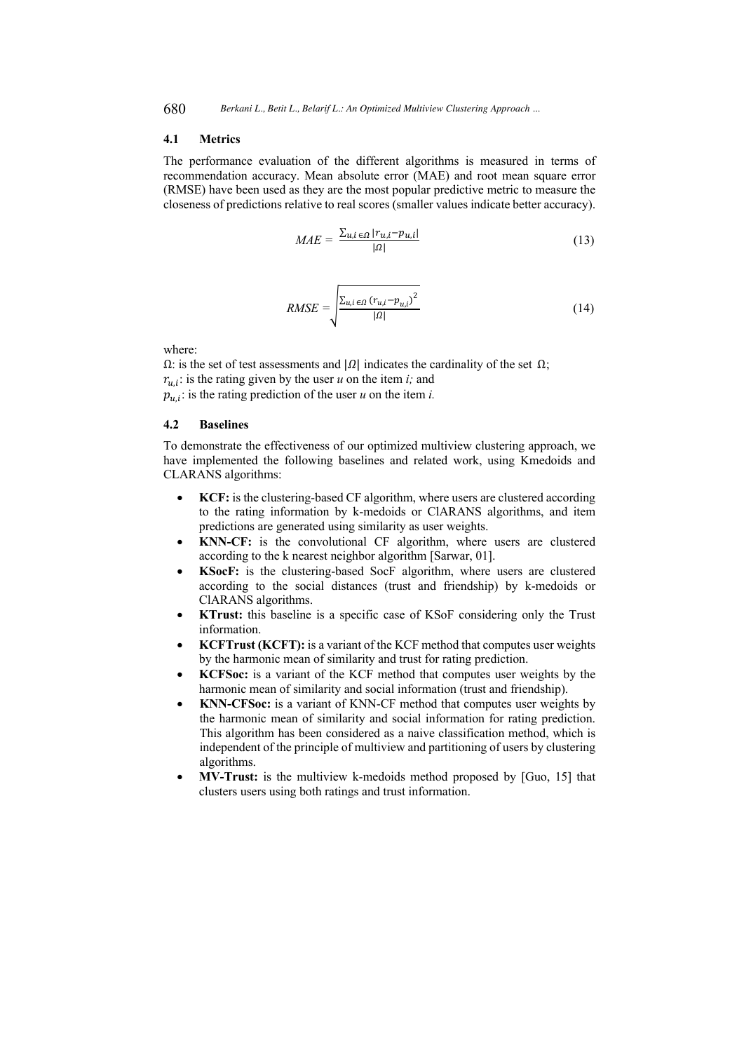### **4.1 Metrics**

The performance evaluation of the different algorithms is measured in terms of recommendation accuracy. Mean absolute error (MAE) and root mean square error (RMSE) have been used as they are the most popular predictive metric to measure the closeness of predictions relative to real scores (smaller values indicate better accuracy).

$$
MAE = \frac{\sum_{u,i \in \Omega} |r_{u,i} - p_{u,i}|}{|\Omega|} \tag{13}
$$

$$
RMSE = \sqrt{\frac{\sum_{u,i \in \Omega} (r_{u,i} - p_{u,i})^2}{|\Omega|}}
$$
(14)

where:

 $Ω$ : is the set of test assessments and  $|Ω|$  indicates the cardinality of the set  $Ω$ ;  $r_{u,i}$ : is the rating given by the user *u* on the item *i*; and  $p_{u,i}$ : is the rating prediction of the user *u* on the item *i*.

#### **4.2 Baselines**

To demonstrate the effectiveness of our optimized multiview clustering approach, we have implemented the following baselines and related work, using Kmedoids and CLARANS algorithms:

- **KCF:** is the clustering-based CF algorithm, where users are clustered according to the rating information by k-medoids or ClARANS algorithms, and item predictions are generated using similarity as user weights.
- **KNN-CF:** is the convolutional CF algorithm, where users are clustered according to the k nearest neighbor algorithm [Sarwar, 01].
- **KSocF:** is the clustering-based SocF algorithm, where users are clustered according to the social distances (trust and friendship) by k-medoids or ClARANS algorithms.
- **KTrust:** this baseline is a specific case of KSoF considering only the Trust information.
- **KCFTrust (KCFT):** is a variant of the KCF method that computes user weights by the harmonic mean of similarity and trust for rating prediction.
- **KCFSoc:** is a variant of the KCF method that computes user weights by the harmonic mean of similarity and social information (trust and friendship).
- **KNN-CFSoc:** is a variant of KNN-CF method that computes user weights by the harmonic mean of similarity and social information for rating prediction. This algorithm has been considered as a naive classification method, which is independent of the principle of multiview and partitioning of users by clustering algorithms.
- **MV-Trust:** is the multiview k-medoids method proposed by [Guo, 15] that clusters users using both ratings and trust information.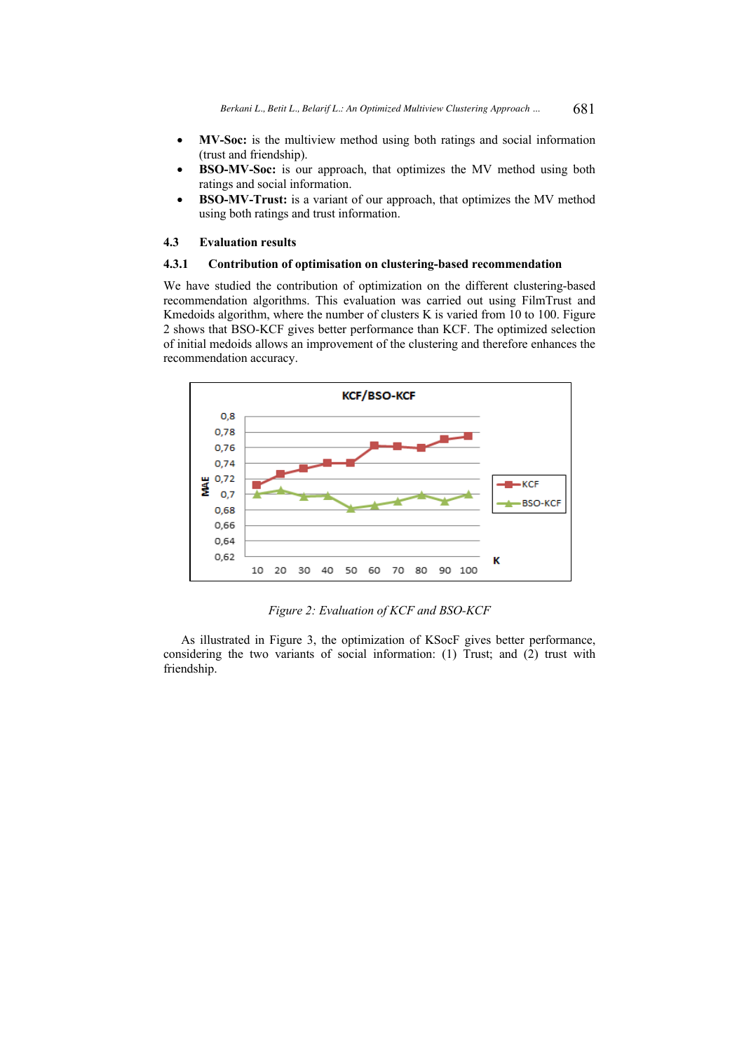- **MV-Soc:** is the multiview method using both ratings and social information (trust and friendship).
- **BSO-MV-Soc:** is our approach, that optimizes the MV method using both ratings and social information.
- **BSO-MV-Trust:** is a variant of our approach, that optimizes the MV method using both ratings and trust information.

### **4.3 Evaluation results**

### **4.3.1 Contribution of optimisation on clustering-based recommendation**

We have studied the contribution of optimization on the different clustering-based recommendation algorithms. This evaluation was carried out using FilmTrust and Kmedoids algorithm, where the number of clusters K is varied from 10 to 100. Figure 2 shows that BSO-KCF gives better performance than KCF. The optimized selection of initial medoids allows an improvement of the clustering and therefore enhances the recommendation accuracy.



*Figure 2: Evaluation of KCF and BSO-KCF* 

As illustrated in Figure 3, the optimization of KSocF gives better performance, considering the two variants of social information: (1) Trust; and (2) trust with friendship.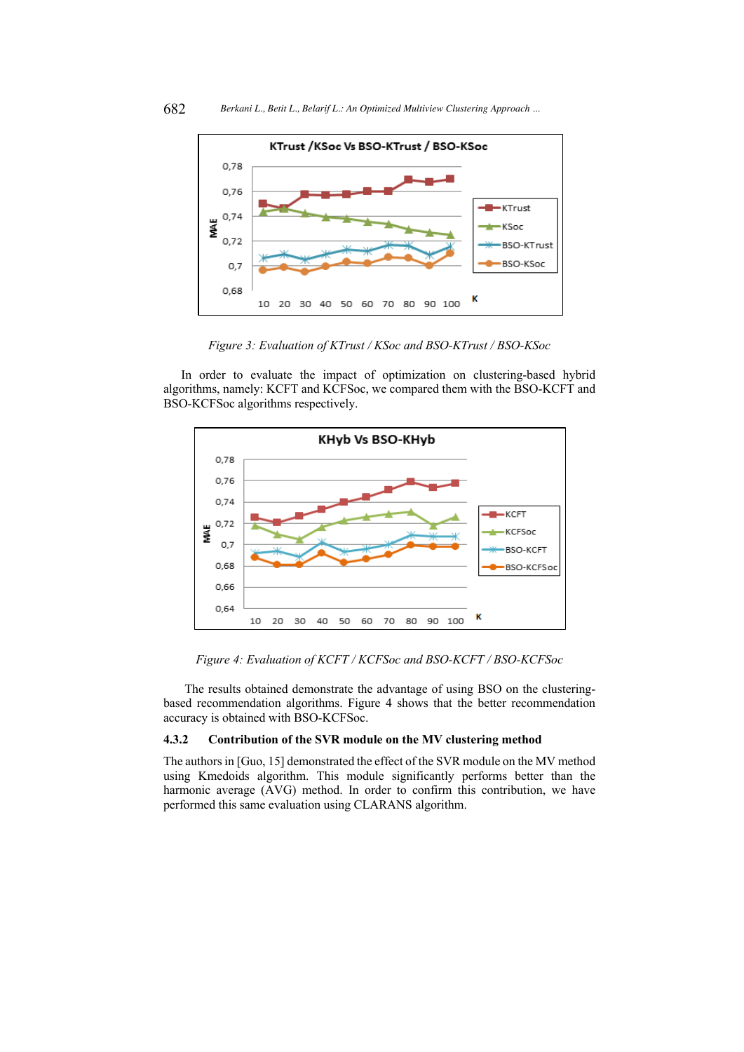

*Figure 3: Evaluation of KTrust / KSoc and BSO-KTrust / BSO-KSoc*

In order to evaluate the impact of optimization on clustering-based hybrid algorithms, namely: KCFT and KCFSoc, we compared them with the BSO-KCFT and BSO-KCFSoc algorithms respectively.



*Figure 4: Evaluation of KCFT / KCFSoc and BSO-KCFT / BSO-KCFSoc*

The results obtained demonstrate the advantage of using BSO on the clusteringbased recommendation algorithms. Figure 4 shows that the better recommendation accuracy is obtained with BSO-KCFSoc.

### **4.3.2 Contribution of the SVR module on the MV clustering method**

The authors in [Guo, 15] demonstrated the effect of the SVR module on the MV method using Kmedoids algorithm. This module significantly performs better than the harmonic average (AVG) method. In order to confirm this contribution, we have performed this same evaluation using CLARANS algorithm.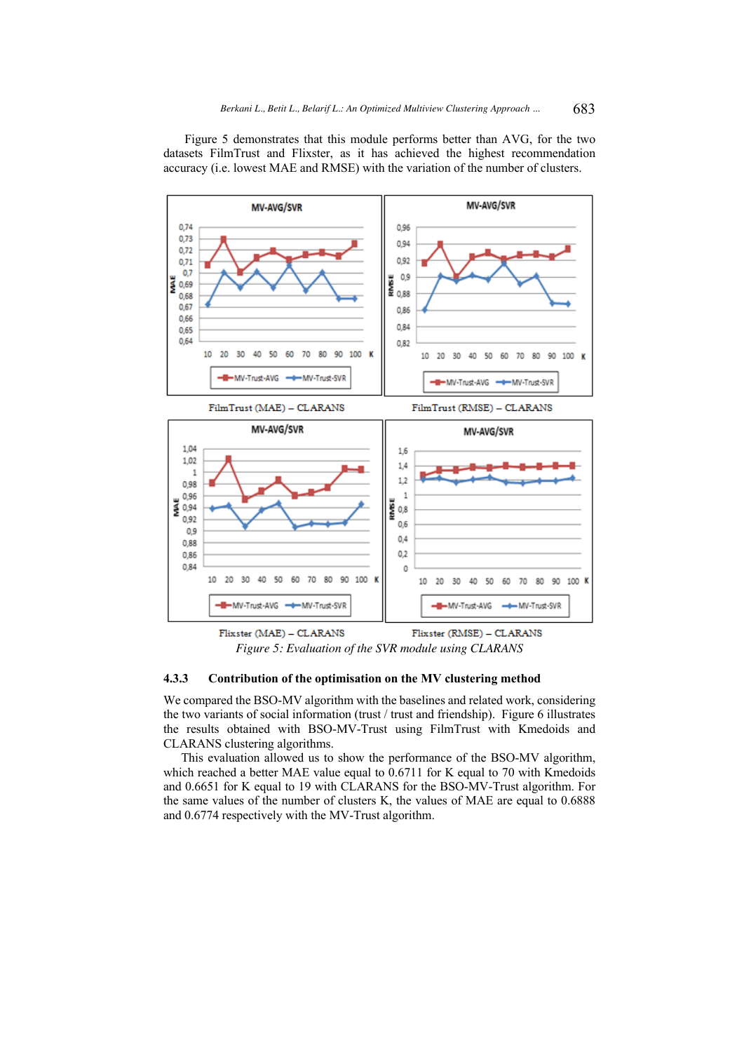Figure 5 demonstrates that this module performs better than AVG, for the two datasets FilmTrust and Flixster, as it has achieved the highest recommendation accuracy (i.e. lowest MAE and RMSE) with the variation of the number of clusters.



Flixster (MAE) - CLARANS Flixster (RMSE) - CLARANS *Figure 5: Evaluation of the SVR module using CLARANS*

### **4.3.3 Contribution of the optimisation on the MV clustering method**

We compared the BSO-MV algorithm with the baselines and related work, considering the two variants of social information (trust / trust and friendship). Figure 6 illustrates the results obtained with BSO-MV-Trust using FilmTrust with Kmedoids and CLARANS clustering algorithms.

This evaluation allowed us to show the performance of the BSO-MV algorithm, which reached a better MAE value equal to 0.6711 for K equal to 70 with Kmedoids and 0.6651 for K equal to 19 with CLARANS for the BSO-MV-Trust algorithm. For the same values of the number of clusters K, the values of MAE are equal to 0.6888 and 0.6774 respectively with the MV-Trust algorithm.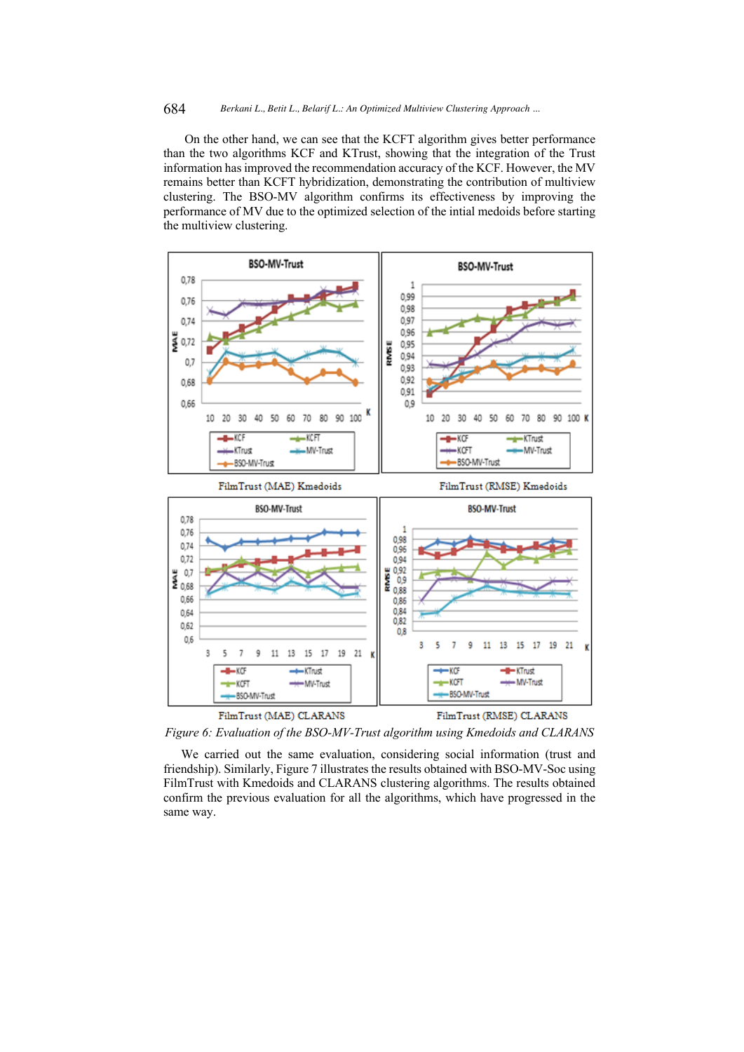### 684 *Berkani L., Betit L., Belarif L.: An Optimized Multiview Clustering Approach ...*

On the other hand, we can see that the KCFT algorithm gives better performance than the two algorithms KCF and KTrust, showing that the integration of the Trust information has improved the recommendation accuracy of the KCF. However, the MV remains better than KCFT hybridization, demonstrating the contribution of multiview clustering. The BSO-MV algorithm confirms its effectiveness by improving the performance of MV due to the optimized selection of the intial medoids before starting the multiview clustering.



*Figure 6: Evaluation of the BSO-MV-Trust algorithm using Kmedoids and CLARANS*

We carried out the same evaluation, considering social information (trust and friendship). Similarly, Figure 7 illustrates the results obtained with BSO-MV-Soc using FilmTrust with Kmedoids and CLARANS clustering algorithms. The results obtained confirm the previous evaluation for all the algorithms, which have progressed in the same way.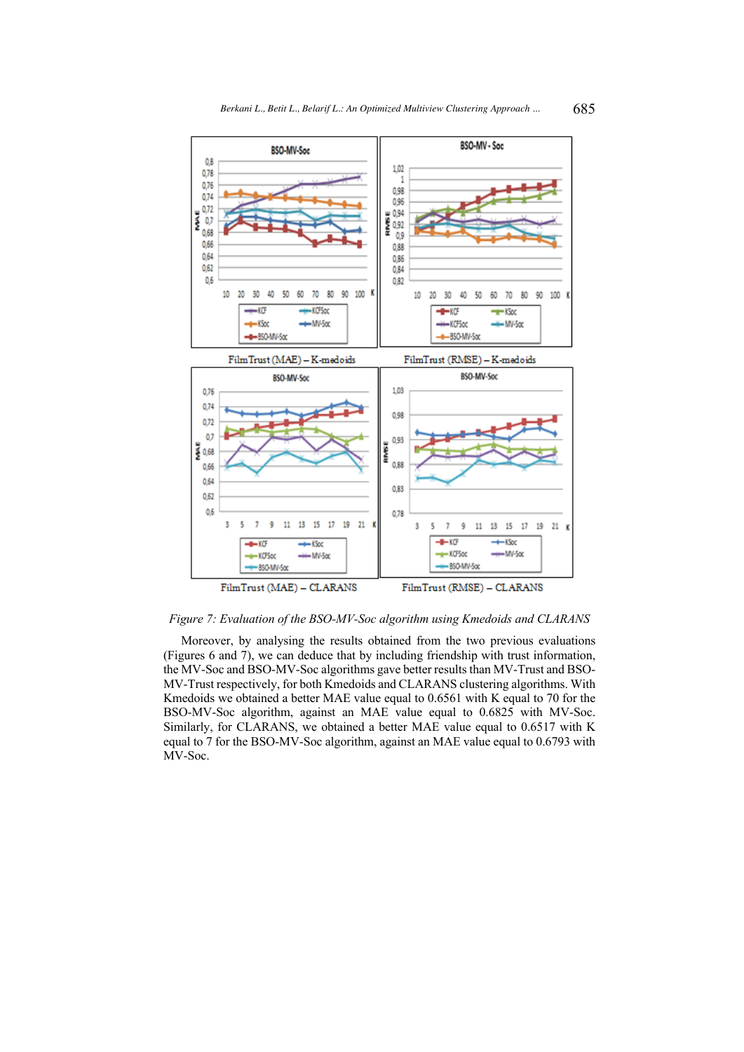

*Figure 7: Evaluation of the BSO-MV-Soc algorithm using Kmedoids and CLARANS*

Moreover, by analysing the results obtained from the two previous evaluations (Figures 6 and 7), we can deduce that by including friendship with trust information, the MV-Soc and BSO-MV-Soc algorithms gave better results than MV-Trust and BSO-MV-Trust respectively, for both Kmedoids and CLARANS clustering algorithms. With Kmedoids we obtained a better MAE value equal to 0.6561 with K equal to 70 for the BSO-MV-Soc algorithm, against an MAE value equal to 0.6825 with MV-Soc. Similarly, for CLARANS, we obtained a better MAE value equal to 0.6517 with K equal to 7 for the BSO-MV-Soc algorithm, against an MAE value equal to 0.6793 with MV-Soc.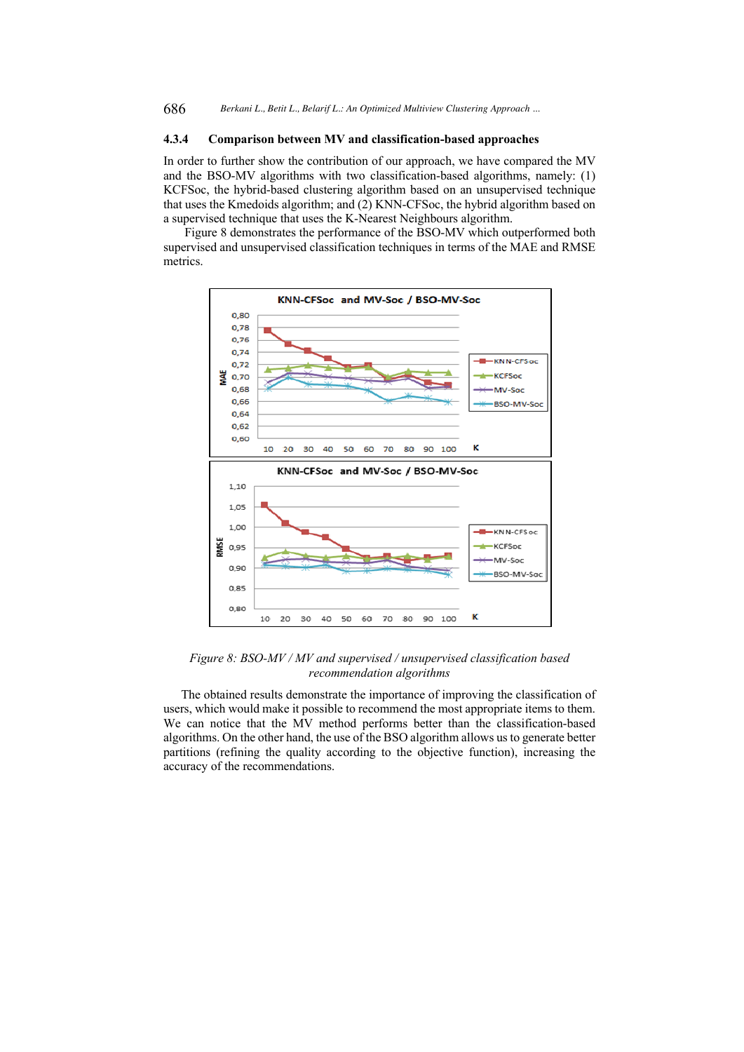### **4.3.4 Comparison between MV and classification-based approaches**

In order to further show the contribution of our approach, we have compared the MV and the BSO-MV algorithms with two classification-based algorithms, namely: (1) KCFSoc, the hybrid-based clustering algorithm based on an unsupervised technique that uses the Kmedoids algorithm; and (2) KNN-CFSoc, the hybrid algorithm based on a supervised technique that uses the K-Nearest Neighbours algorithm.

Figure 8 demonstrates the performance of the BSO-MV which outperformed both supervised and unsupervised classification techniques in terms of the MAE and RMSE metrics.



*Figure 8: BSO-MV / MV and supervised / unsupervised classification based recommendation algorithms*

The obtained results demonstrate the importance of improving the classification of users, which would make it possible to recommend the most appropriate items to them. We can notice that the MV method performs better than the classification-based algorithms. On the other hand, the use of the BSO algorithm allows us to generate better partitions (refining the quality according to the objective function), increasing the accuracy of the recommendations.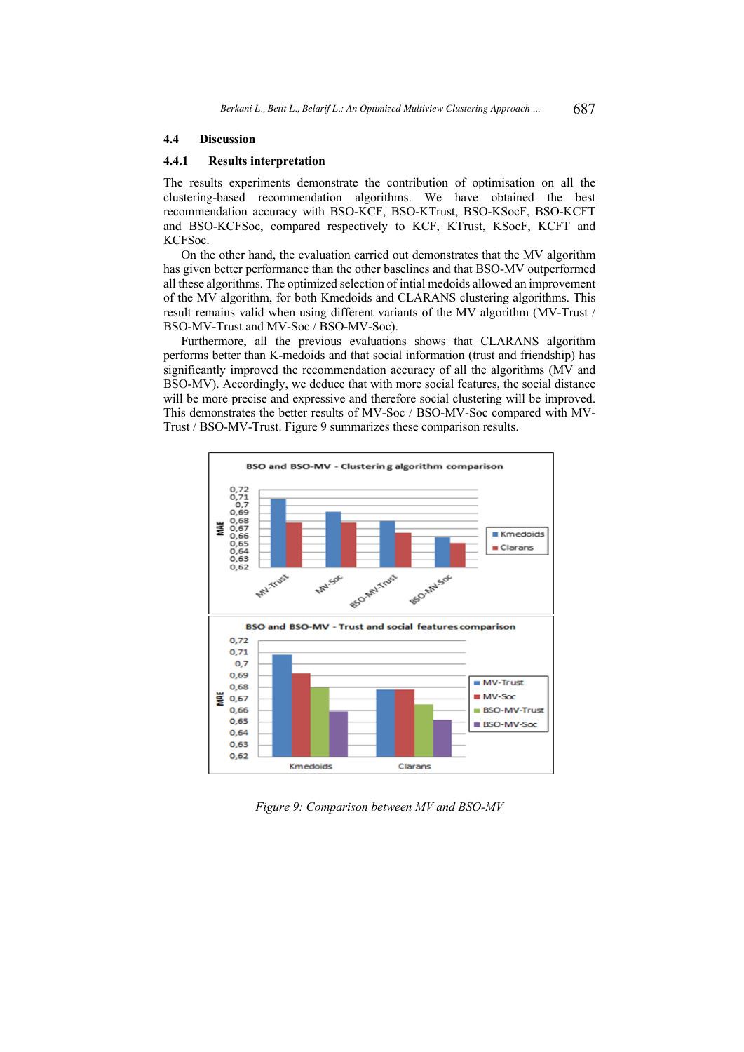### **4.4 Discussion**

### **4.4.1 Results interpretation**

The results experiments demonstrate the contribution of optimisation on all the clustering-based recommendation algorithms. We have obtained the best recommendation accuracy with BSO-KCF, BSO-KTrust, BSO-KSocF, BSO-KCFT and BSO-KCFSoc, compared respectively to KCF, KTrust, KSocF, KCFT and KCFSoc.

On the other hand, the evaluation carried out demonstrates that the MV algorithm has given better performance than the other baselines and that BSO-MV outperformed all these algorithms. The optimized selection of intial medoids allowed an improvement of the MV algorithm, for both Kmedoids and CLARANS clustering algorithms. This result remains valid when using different variants of the MV algorithm (MV-Trust / BSO-MV-Trust and MV-Soc / BSO-MV-Soc).

Furthermore, all the previous evaluations shows that CLARANS algorithm performs better than K-medoids and that social information (trust and friendship) has significantly improved the recommendation accuracy of all the algorithms (MV and BSO-MV). Accordingly, we deduce that with more social features, the social distance will be more precise and expressive and therefore social clustering will be improved. This demonstrates the better results of MV-Soc / BSO-MV-Soc compared with MV-Trust / BSO-MV-Trust. Figure 9 summarizes these comparison results.



*Figure 9: Comparison between MV and BSO-MV*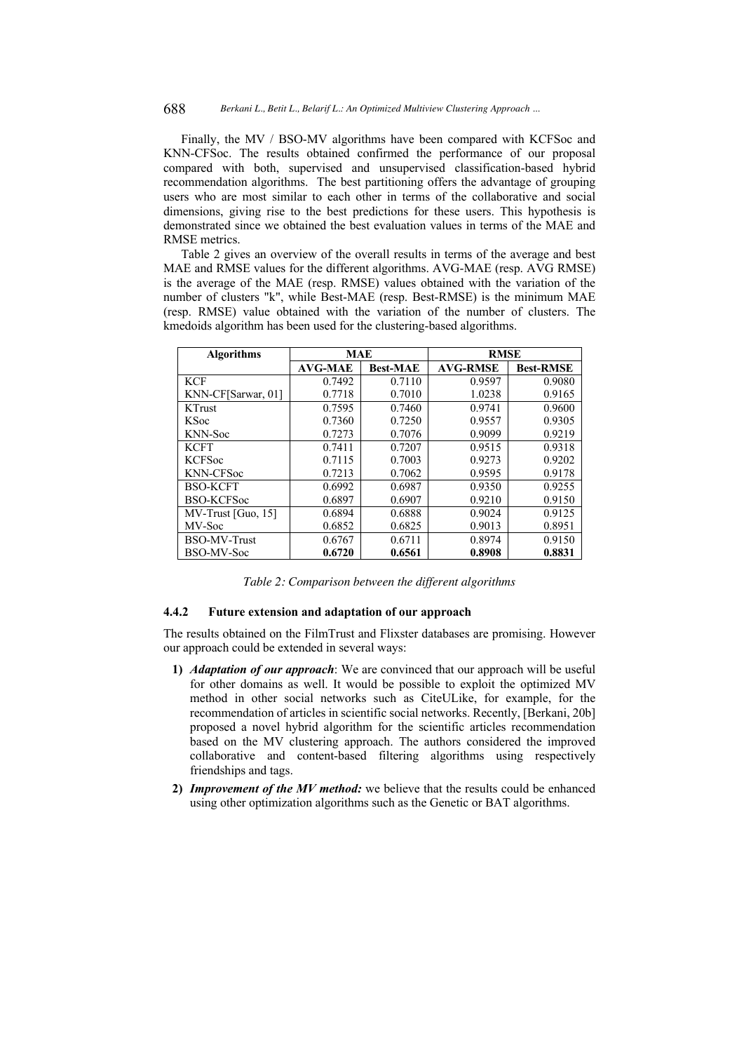688 *Berkani L., Betit L., Belarif L.: An Optimized Multiview Clustering Approach ...*

Finally, the MV / BSO-MV algorithms have been compared with KCFSoc and KNN-CFSoc. The results obtained confirmed the performance of our proposal compared with both, supervised and unsupervised classification-based hybrid recommendation algorithms. The best partitioning offers the advantage of grouping users who are most similar to each other in terms of the collaborative and social dimensions, giving rise to the best predictions for these users. This hypothesis is demonstrated since we obtained the best evaluation values in terms of the MAE and RMSE metrics.

Table 2 gives an overview of the overall results in terms of the average and best MAE and RMSE values for the different algorithms. AVG-MAE (resp. AVG RMSE) is the average of the MAE (resp. RMSE) values obtained with the variation of the number of clusters "k", while Best-MAE (resp. Best-RMSE) is the minimum MAE (resp. RMSE) value obtained with the variation of the number of clusters. The kmedoids algorithm has been used for the clustering-based algorithms.

| <b>Algorithms</b>    | <b>MAE</b>     |                 | <b>RMSE</b>     |                  |
|----------------------|----------------|-----------------|-----------------|------------------|
|                      | <b>AVG-MAE</b> | <b>Best-MAE</b> | <b>AVG-RMSE</b> | <b>Best-RMSE</b> |
| <b>KCF</b>           | 0.7492         | 0.7110          | 0.9597          | 0.9080           |
| KNN-CF[Sarwar, 01]   | 0.7718         | 0.7010          | 1.0238          | 0.9165           |
| <b>KTrust</b>        | 0.7595         | 0.7460          | 0.9741          | 0.9600           |
| <b>KSoc</b>          | 0.7360         | 0.7250          | 0.9557          | 0.9305           |
| KNN-Soc              | 0.7273         | 0.7076          | 0.9099          | 0.9219           |
| <b>KCFT</b>          | 0.7411         | 0.7207          | 0.9515          | 0.9318           |
| <b>KCFSoc</b>        | 0.7115         | 0.7003          | 0.9273          | 0.9202           |
| <b>KNN-CFSoc</b>     | 0.7213         | 0.7062          | 0.9595          | 0.9178           |
| <b>BSO-KCFT</b>      | 0.6992         | 0.6987          | 0.9350          | 0.9255           |
| <b>BSO-KCFSoc</b>    | 0.6897         | 0.6907          | 0.9210          | 0.9150           |
| $MV-Trust$ [Guo, 15] | 0.6894         | 0.6888          | 0.9024          | 0.9125           |
| MV-Soc               | 0.6852         | 0.6825          | 0.9013          | 0.8951           |
| BSO-MV-Trust         | 0.6767         | 0.6711          | 0.8974          | 0.9150           |
| BSO-MV-Soc           | 0.6720         | 0.6561          | 0.8908          | 0.8831           |

*Table 2: Comparison between the different algorithms*

### **4.4.2 Future extension and adaptation of our approach**

The results obtained on the FilmTrust and Flixster databases are promising. However our approach could be extended in several ways:

- **1)** *Adaptation of our approach*: We are convinced that our approach will be useful for other domains as well. It would be possible to exploit the optimized MV method in other social networks such as CiteULike, for example, for the recommendation of articles in scientific social networks. Recently, [Berkani, 20b] proposed a novel hybrid algorithm for the scientific articles recommendation based on the MV clustering approach. The authors considered the improved collaborative and content-based filtering algorithms using respectively friendships and tags.
- **2)** *Improvement of the MV method:* we believe that the results could be enhanced using other optimization algorithms such as the Genetic or BAT algorithms.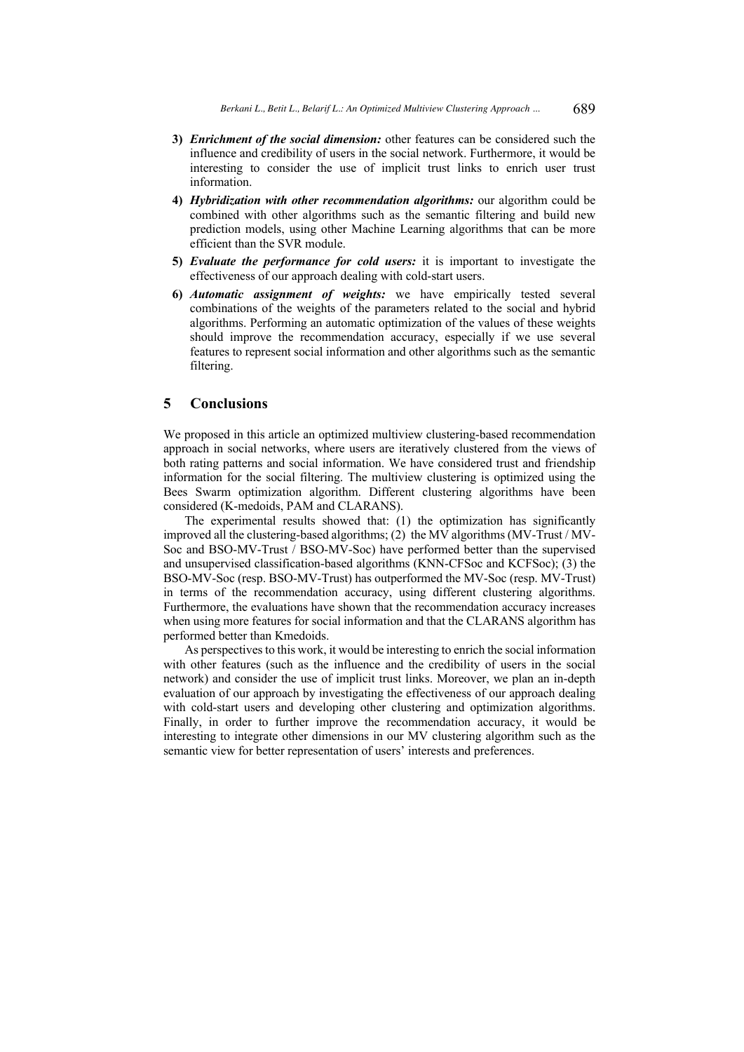- **3)** *Enrichment of the social dimension:* other features can be considered such the influence and credibility of users in the social network. Furthermore, it would be interesting to consider the use of implicit trust links to enrich user trust information.
- **4)** *Hybridization with other recommendation algorithms:* our algorithm could be combined with other algorithms such as the semantic filtering and build new prediction models, using other Machine Learning algorithms that can be more efficient than the SVR module.
- **5)** *Evaluate the performance for cold users:* it is important to investigate the effectiveness of our approach dealing with cold-start users.
- **6)** *Automatic assignment of weights:* we have empirically tested several combinations of the weights of the parameters related to the social and hybrid algorithms. Performing an automatic optimization of the values of these weights should improve the recommendation accuracy, especially if we use several features to represent social information and other algorithms such as the semantic filtering.

## **5 Conclusions**

We proposed in this article an optimized multiview clustering-based recommendation approach in social networks, where users are iteratively clustered from the views of both rating patterns and social information. We have considered trust and friendship information for the social filtering. The multiview clustering is optimized using the Bees Swarm optimization algorithm. Different clustering algorithms have been considered (K-medoids, PAM and CLARANS).

The experimental results showed that: (1) the optimization has significantly improved all the clustering-based algorithms; (2) the MV algorithms (MV-Trust / MV-Soc and BSO-MV-Trust / BSO-MV-Soc) have performed better than the supervised and unsupervised classification-based algorithms (KNN-CFSoc and KCFSoc); (3) the BSO-MV-Soc (resp. BSO-MV-Trust) has outperformed the MV-Soc (resp. MV-Trust) in terms of the recommendation accuracy, using different clustering algorithms. Furthermore, the evaluations have shown that the recommendation accuracy increases when using more features for social information and that the CLARANS algorithm has performed better than Kmedoids.

As perspectives to this work, it would be interesting to enrich the social information with other features (such as the influence and the credibility of users in the social network) and consider the use of implicit trust links. Moreover, we plan an in-depth evaluation of our approach by investigating the effectiveness of our approach dealing with cold-start users and developing other clustering and optimization algorithms. Finally, in order to further improve the recommendation accuracy, it would be interesting to integrate other dimensions in our MV clustering algorithm such as the semantic view for better representation of users' interests and preferences.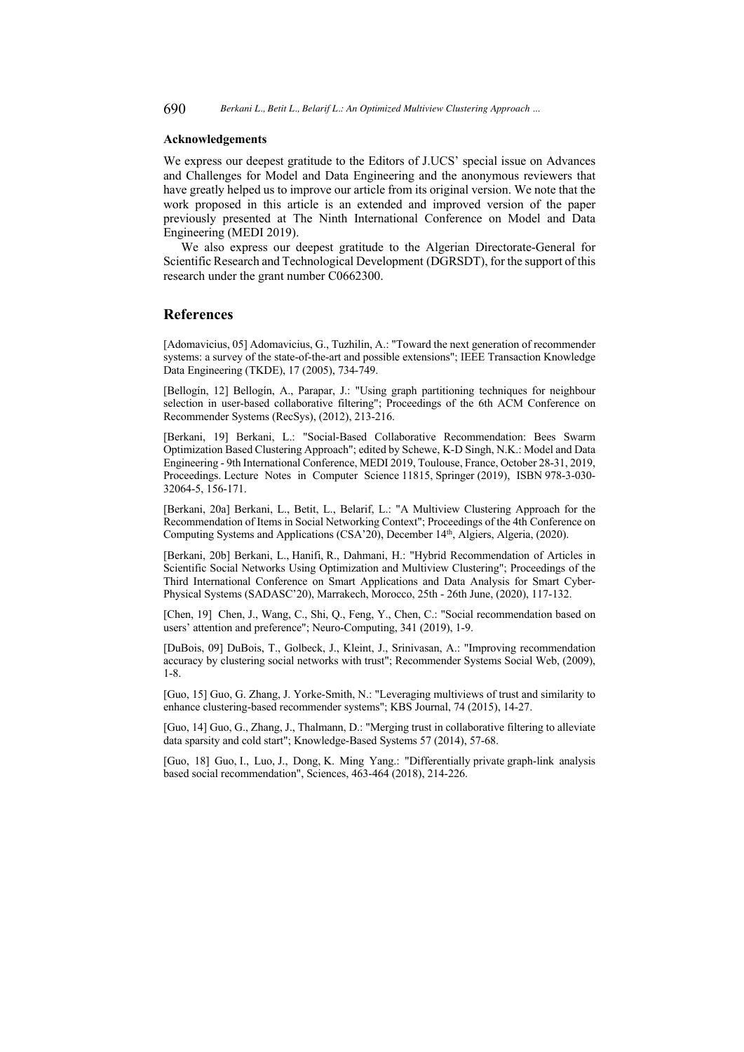#### **Acknowledgements**

We express our deepest gratitude to the Editors of J.UCS' special issue on Advances and Challenges for Model and Data Engineering and the anonymous reviewers that have greatly helped us to improve our article from its original version. We note that the work proposed in this article is an extended and improved version of the paper previously presented at The Ninth International Conference on Model and Data Engineering (MEDI 2019).

We also express our deepest gratitude to the Algerian Directorate-General for Scientific Research and Technological Development (DGRSDT), for the support of this research under the grant number C0662300.

### **References**

[Adomavicius, 05] Adomavicius, G., Tuzhilin, A.: "Toward the next generation of recommender systems: a survey of the state-of-the-art and possible extensions"; IEEE Transaction Knowledge Data Engineering (TKDE), 17 (2005), 734-749.

[Bellogín, 12] Bellogín, A., Parapar, J.: "Using graph partitioning techniques for neighbour selection in user-based collaborative filtering"; Proceedings of the 6th ACM Conference on Recommender Systems (RecSys), (2012), 213-216.

[Berkani, 19] Berkani, L.: "Social-Based Collaborative Recommendation: Bees Swarm Optimization Based Clustering Approach"; edited by Schewe, K-D Singh, N.K.: Model and Data Engineering - 9th International Conference, MEDI 2019, Toulouse, France, October 28-31, 2019, Proceedings. Lecture Notes in Computer Science 11815, Springer (2019), ISBN 978-3-030- 32064-5, 156-171.

[Berkani, 20a] Berkani, L., Betit, L., Belarif, L.: "A Multiview Clustering Approach for the Recommendation of Items in Social Networking Context"; Proceedings of the 4th Conference on Computing Systems and Applications (CSA'20), December 14th, Algiers, Algeria, (2020).

[Berkani, 20b] Berkani, L., Hanifi, R., Dahmani, H.: "Hybrid Recommendation of Articles in Scientific Social Networks Using Optimization and Multiview Clustering"; Proceedings of the Third International Conference on Smart Applications and Data Analysis for Smart Cyber-Physical Systems (SADASC'20), Marrakech, Morocco, 25th - 26th June, (2020), 117-132.

[Chen, 19] Chen, J., Wang, C., Shi, Q., Feng, Y., Chen, C.: "Social recommendation based on users' attention and preference"; Neuro-Computing, 341 (2019), 1-9.

[DuBois, 09] DuBois, T., Golbeck, J., Kleint, J., Srinivasan, A.: "Improving recommendation accuracy by clustering social networks with trust"; Recommender Systems Social Web, (2009), 1-8.

[Guo, 15] Guo, G. Zhang, J. Yorke-Smith, N.: "Leveraging multiviews of trust and similarity to enhance clustering-based recommender systems"; KBS Journal, 74 (2015), 14-27.

[Guo, 14] Guo, G., Zhang, J., Thalmann, D.: "Merging trust in collaborative filtering to alleviate data sparsity and cold start"; Knowledge-Based Systems 57 (2014), 57-68.

[Guo, 18] Guo, I., Luo, J., Dong, K. Ming Yang.: "Differentially private graph-link analysis based social recommendation", Sciences, 463-464 (2018), 214-226.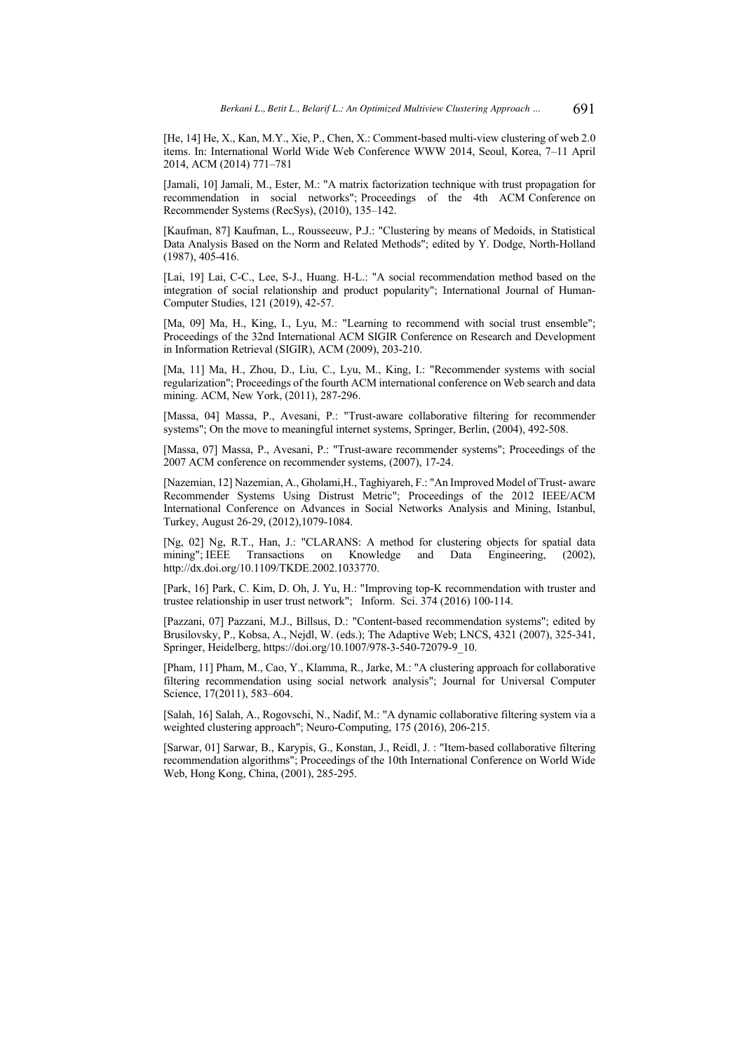[He, 14] He, X., Kan, M.Y., Xie, P., Chen, X.: Comment-based multi-view clustering of web 2.0 items. In: International World Wide Web Conference WWW 2014, Seoul, Korea, 7–11 April 2014, ACM (2014) 771–781

[Jamali, 10] Jamali, M., Ester, M.: "A matrix factorization technique with trust propagation for recommendation in social networks"; Proceedings of the 4th ACM Conference on Recommender Systems (RecSys), (2010), 135–142.

[Kaufman, 87] Kaufman, L., Rousseeuw, P.J.: "Clustering by means of Medoids, in Statistical Data Analysis Based on the Norm and Related Methods"; edited by Y. Dodge, North-Holland (1987), 405-416.

[Lai, 19] Lai, C-C., Lee, S-J., Huang. H-L.: "A social recommendation method based on the integration of social relationship and product popularity"; International Journal of Human-Computer Studies, 121 (2019), 42-57.

[Ma, 09] Ma, H., King, I., Lyu, M.: "Learning to recommend with social trust ensemble"; Proceedings of the 32nd International ACM SIGIR Conference on Research and Development in Information Retrieval (SIGIR), ACM (2009), 203-210.

[Ma, 11] Ma, H., Zhou, D., Liu, C., Lyu, M., King, I.: "Recommender systems with social regularization"; Proceedings of the fourth ACM international conference on Web search and data mining. ACM, New York, (2011), 287-296.

[Massa, 04] Massa, P., Avesani, P.: "Trust-aware collaborative filtering for recommender systems"; On the move to meaningful internet systems, Springer, Berlin, (2004), 492-508.

[Massa, 07] Massa, P., Avesani, P.: "Trust-aware recommender systems"; Proceedings of the 2007 ACM conference on recommender systems, (2007), 17-24.

[Nazemian, 12] Nazemian, A., Gholami,H., Taghiyareh, F.: "An Improved Model of Trust- aware Recommender Systems Using Distrust Metric"; Proceedings of the 2012 IEEE/ACM International Conference on Advances in Social Networks Analysis and Mining, Istanbul, Turkey, August 26-29, (2012),1079-1084.

[Ng, 02] Ng, R.T., Han, J.: "CLARANS: A method for clustering objects for spatial data mining"; IEEE Transactions on Knowledge and Data Engineering, (2002), http://dx.doi.org/10.1109/TKDE.2002.1033770.

[Park, 16] Park, C. Kim, D. Oh, J. Yu, H.: "Improving top-K recommendation with truster and trustee relationship in user trust network"; Inform. Sci. 374 (2016) 100-114.

[Pazzani, 07] Pazzani, M.J., Billsus, D.: "Content-based recommendation systems"; edited by Brusilovsky, P., Kobsa, A., Nejdl, W. (eds.); The Adaptive Web; LNCS, 4321 (2007), 325-341, Springer, Heidelberg, https://doi.org/10.1007/978-3-540-72079-9\_10.

[Pham, 11] Pham, M., Cao, Y., Klamma, R., Jarke, M.: "A clustering approach for collaborative filtering recommendation using social network analysis"; Journal for Universal Computer Science, 17(2011), 583–604.

[Salah, 16] Salah, A., Rogovschi, N., Nadif, M.: "A dynamic collaborative filtering system via a weighted clustering approach"; Neuro-Computing, 175 (2016), 206-215.

[Sarwar, 01] Sarwar, B., Karypis, G., Konstan, J., Reidl, J. : "Item-based collaborative filtering recommendation algorithms"; Proceedings of the 10th International Conference on World Wide Web, Hong Kong, China, (2001), 285-295.